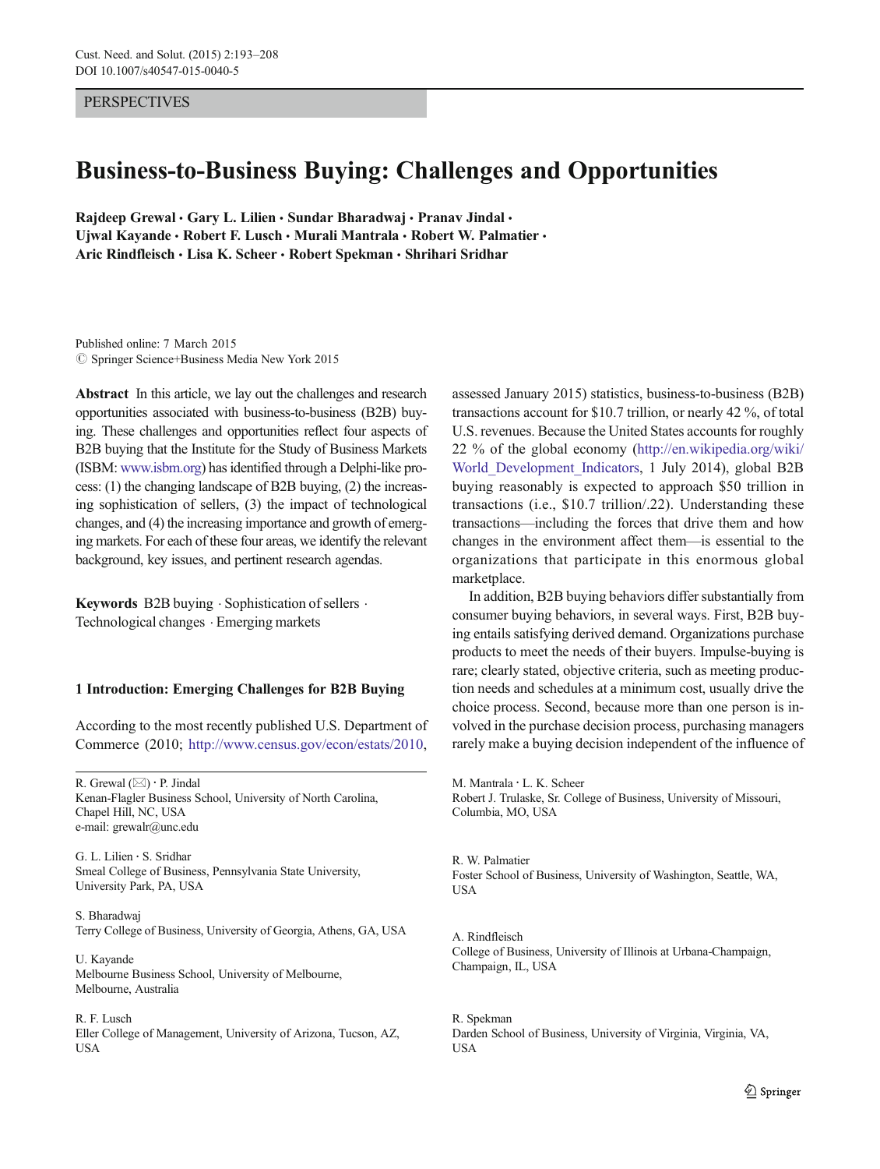#### **PERSPECTIVES**

# Business-to-Business Buying: Challenges and Opportunities

Rajdeep Grewal · Gary L. Lilien · Sundar Bharadwaj · Pranav Jindal · Ujwal Kayande • Robert F. Lusch • Murali Mantrala • Robert W. Palmatier • Aric Rindfleisch · Lisa K. Scheer · Robert Spekman · Shrihari Sridhar

 $\circled{c}$  Springer Science+Business Media New York 2015 Published online: 7 March 2015

Abstract In this article, we lay out the challenges and research opportunities associated with business-to-business (B2B) buying. These challenges and opportunities reflect four aspects of B2B buying that the Institute for the Study of Business Markets (ISBM: [www.isbm.org](http://www.isbm.org/)) has identified through a Delphi-like process: (1) the changing landscape of B2B buying, (2) the increasing sophistication of sellers, (3) the impact of technological changes, and (4) the increasing importance and growth of emerging markets. For each of these four areas, we identify the relevant background, key issues, and pertinent research agendas.

Keywords B2B buying . Sophistication of sellers . Technological changes . Emerging markets

#### 1 Introduction: Emerging Challenges for B2B Buying

According to the most recently published U.S. Department of Commerce (2010; [http://www.census.gov/econ/estats/2010,](http://www.census.gov/econ/estats/2010)

R. Grewal  $(\boxtimes) \cdot$  P. Jindal Kenan-Flagler Business School, University of North Carolina, Chapel Hill, NC, USA e-mail: grewalr@unc.edu

G. L. Lilien : S. Sridhar Smeal College of Business, Pennsylvania State University, University Park, PA, USA

S. Bharadwaj Terry College of Business, University of Georgia, Athens, GA, USA

U. Kayande Melbourne Business School, University of Melbourne, Melbourne, Australia

R. F. Lusch Eller College of Management, University of Arizona, Tucson, AZ, USA

assessed January 2015) statistics, business-to-business (B2B) transactions account for \$10.7 trillion, or nearly 42 %, of total U.S. revenues. Because the United States accounts for roughly 22 % of the global economy [\(http://en.wikipedia.org/wiki/](http://en.wikipedia.org/wiki/World_Development_Indicators) [World\\_Development\\_Indicators,](http://en.wikipedia.org/wiki/World_Development_Indicators) 1 July 2014), global B2B buying reasonably is expected to approach \$50 trillion in transactions (i.e., \$10.7 trillion/.22). Understanding these transactions—including the forces that drive them and how changes in the environment affect them—is essential to the organizations that participate in this enormous global marketplace.

In addition, B2B buying behaviors differ substantially from consumer buying behaviors, in several ways. First, B2B buying entails satisfying derived demand. Organizations purchase products to meet the needs of their buyers. Impulse-buying is rare; clearly stated, objective criteria, such as meeting production needs and schedules at a minimum cost, usually drive the choice process. Second, because more than one person is involved in the purchase decision process, purchasing managers rarely make a buying decision independent of the influence of

M. Mantrala : L. K. Scheer Robert J. Trulaske, Sr. College of Business, University of Missouri, Columbia, MO, USA

R. W. Palmatier Foster School of Business, University of Washington, Seattle, WA, USA

A. Rindfleisch College of Business, University of Illinois at Urbana-Champaign, Champaign, IL, USA

R. Spekman Darden School of Business, University of Virginia, Virginia, VA, USA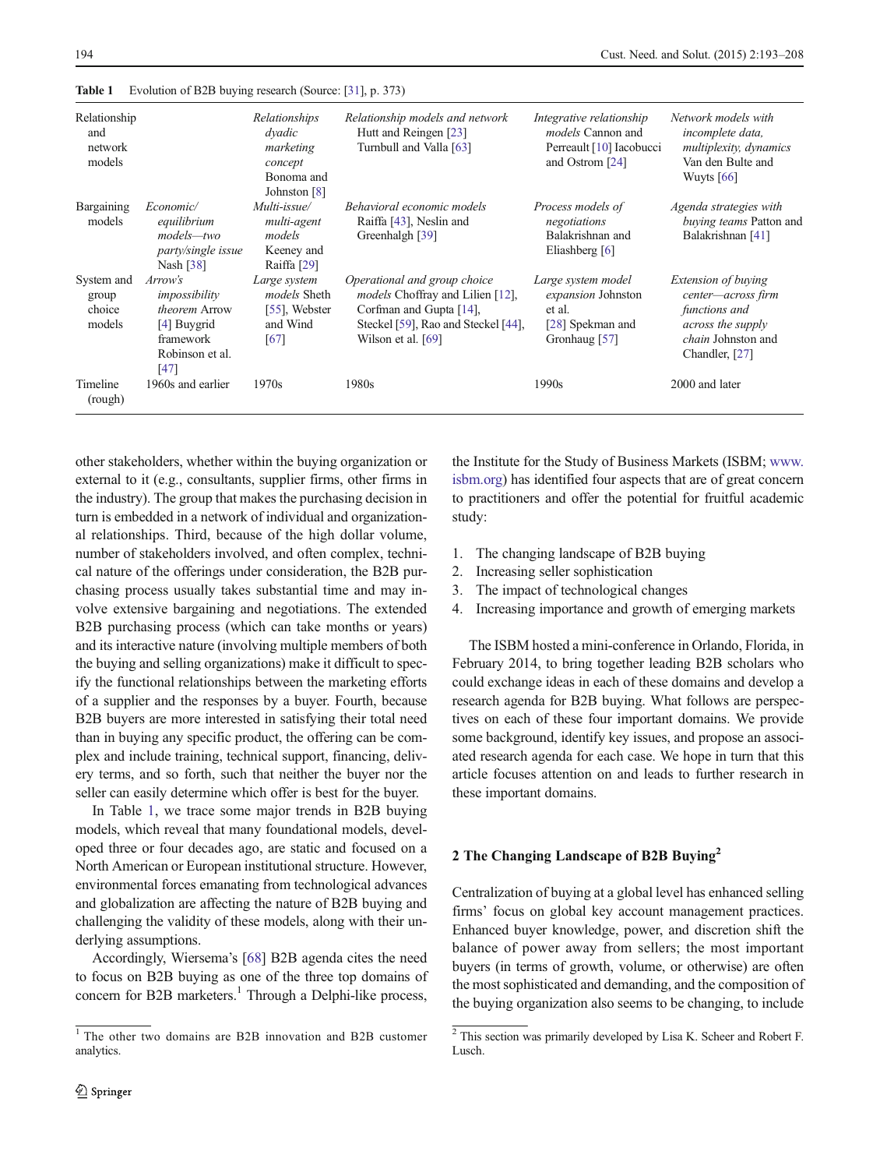| Relationship<br>and<br>network<br>models |                                                                                                         | Relationships<br>dvadic<br>marketing<br>concept<br>Bonoma and<br>Johnston [8] | Relationship models and network<br>Hutt and Reingen [23]<br>Turnbull and Valla [63]                                                                             | Integrative relationship<br><i>models</i> Cannon and<br>Perreault [10] Iacobucci<br>and Ostrom [24] | Network models with<br>incomplete data,<br>multiplexity, dynamics<br>Van den Bulte and<br>Wuyts $[66]$                         |
|------------------------------------------|---------------------------------------------------------------------------------------------------------|-------------------------------------------------------------------------------|-----------------------------------------------------------------------------------------------------------------------------------------------------------------|-----------------------------------------------------------------------------------------------------|--------------------------------------------------------------------------------------------------------------------------------|
| Bargaining<br>models                     | Economic/<br>equilibrium<br>models-two<br>party/single issue<br>Nash [38]                               | Multi-issue/<br>multi-agent<br>models<br>Keeney and<br>Raiffa <sup>[29]</sup> | Behavioral economic models<br>Raiffa [43], Neslin and<br>Greenhalgh [39]                                                                                        | Process models of<br>negotiations<br>Balakrishnan and<br>Eliashberg [6]                             | Agenda strategies with<br><i>buying teams</i> Patton and<br>Balakrishnan [41]                                                  |
| System and<br>group<br>choice<br>models  | Arrow's<br>impossibility<br><i>theorem</i> Arrow<br>[4] Buygrid<br>framework<br>Robinson et al.<br>[47] | Large system<br><i>models</i> Sheth<br>[55], Webster<br>and Wind<br>[67]      | Operational and group choice<br><i>models</i> Choffray and Lilien [12],<br>Corfman and Gupta [14].<br>Steckel [59], Rao and Steckel [44],<br>Wilson et al. [69] | Large system model<br>expansion Johnston<br>et al.<br>[28] Spekman and<br>Gronhaug [57]             | Extension of buying<br>center-across firm<br>functions and<br>across the supply<br><i>chain</i> Johnston and<br>Chandler, [27] |
| Timeline<br>(rough)                      | 1960s and earlier                                                                                       | 1970s                                                                         | 1980s                                                                                                                                                           | 1990s                                                                                               | 2000 and later                                                                                                                 |

Table 1 Evolution of B2B buying research (Source: [[31\]](#page-14-0), p. 373)

other stakeholders, whether within the buying organization or external to it (e.g., consultants, supplier firms, other firms in the industry). The group that makes the purchasing decision in turn is embedded in a network of individual and organizational relationships. Third, because of the high dollar volume, number of stakeholders involved, and often complex, technical nature of the offerings under consideration, the B2B purchasing process usually takes substantial time and may involve extensive bargaining and negotiations. The extended B2B purchasing process (which can take months or years) and its interactive nature (involving multiple members of both the buying and selling organizations) make it difficult to specify the functional relationships between the marketing efforts of a supplier and the responses by a buyer. Fourth, because B2B buyers are more interested in satisfying their total need than in buying any specific product, the offering can be complex and include training, technical support, financing, delivery terms, and so forth, such that neither the buyer nor the seller can easily determine which offer is best for the buyer.

In Table 1, we trace some major trends in B2B buying models, which reveal that many foundational models, developed three or four decades ago, are static and focused on a North American or European institutional structure. However, environmental forces emanating from technological advances and globalization are affecting the nature of B2B buying and challenging the validity of these models, along with their underlying assumptions.

Accordingly, Wiersema's [\[68\]](#page-15-0) B2B agenda cites the need to focus on B2B buying as one of the three top domains of concern for B2B marketers.<sup>1</sup> Through a Delphi-like process, the Institute for the Study of Business Markets (ISBM; [www.](http://www.isbm.org/) [isbm.org](http://www.isbm.org/)) has identified four aspects that are of great concern to practitioners and offer the potential for fruitful academic study:

- 1. The changing landscape of B2B buying
- 2. Increasing seller sophistication
- 3. The impact of technological changes
- 4. Increasing importance and growth of emerging markets

The ISBM hosted a mini-conference in Orlando, Florida, in February 2014, to bring together leading B2B scholars who could exchange ideas in each of these domains and develop a research agenda for B2B buying. What follows are perspectives on each of these four important domains. We provide some background, identify key issues, and propose an associated research agenda for each case. We hope in turn that this article focuses attention on and leads to further research in these important domains.

## 2 The Changing Landscape of B2B Buying2

Centralization of buying at a global level has enhanced selling firms' focus on global key account management practices. Enhanced buyer knowledge, power, and discretion shift the balance of power away from sellers; the most important buyers (in terms of growth, volume, or otherwise) are often the most sophisticated and demanding, and the composition of the buying organization also seems to be changing, to include

 $\overline{1}$  The other two domains are B2B innovation and B2B customer analytics.

 $\frac{2}{3}$  This section was primarily developed by Lisa K. Scheer and Robert F. Lusch.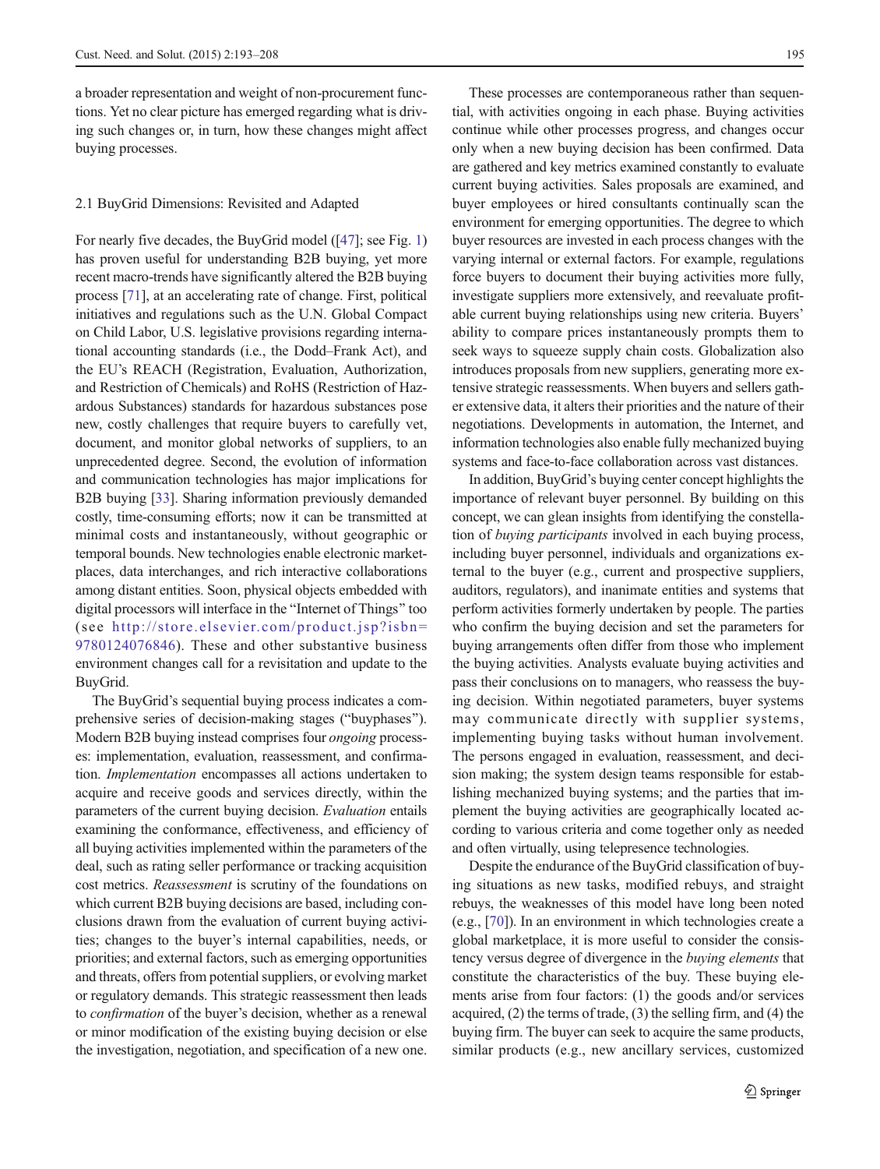a broader representation and weight of non-procurement functions. Yet no clear picture has emerged regarding what is driving such changes or, in turn, how these changes might affect buying processes.

#### 2.1 BuyGrid Dimensions: Revisited and Adapted

For nearly five decades, the BuyGrid model ([\[47](#page-14-0)]; see Fig. [1\)](#page-3-0) has proven useful for understanding B2B buying, yet more recent macro-trends have significantly altered the B2B buying process [[71\]](#page-15-0), at an accelerating rate of change. First, political initiatives and regulations such as the U.N. Global Compact on Child Labor, U.S. legislative provisions regarding international accounting standards (i.e., the Dodd–Frank Act), and the EU's REACH (Registration, Evaluation, Authorization, and Restriction of Chemicals) and RoHS (Restriction of Hazardous Substances) standards for hazardous substances pose new, costly challenges that require buyers to carefully vet, document, and monitor global networks of suppliers, to an unprecedented degree. Second, the evolution of information and communication technologies has major implications for B2B buying [\[33](#page-14-0)]. Sharing information previously demanded costly, time-consuming efforts; now it can be transmitted at minimal costs and instantaneously, without geographic or temporal bounds. New technologies enable electronic marketplaces, data interchanges, and rich interactive collaborations among distant entities. Soon, physical objects embedded with digital processors will interface in the "Internet of Things" too (see [http://store.elsevier.com/product.jsp?isbn=](http://store.elsevier.com/product.jsp?isbn=9780124076846) [9780124076846](http://store.elsevier.com/product.jsp?isbn=9780124076846)). These and other substantive business environment changes call for a revisitation and update to the BuyGrid.

The BuyGrid's sequential buying process indicates a comprehensive series of decision-making stages ("buyphases"). Modern B2B buying instead comprises four ongoing processes: implementation, evaluation, reassessment, and confirmation. Implementation encompasses all actions undertaken to acquire and receive goods and services directly, within the parameters of the current buying decision. Evaluation entails examining the conformance, effectiveness, and efficiency of all buying activities implemented within the parameters of the deal, such as rating seller performance or tracking acquisition cost metrics. Reassessment is scrutiny of the foundations on which current B2B buying decisions are based, including conclusions drawn from the evaluation of current buying activities; changes to the buyer's internal capabilities, needs, or priorities; and external factors, such as emerging opportunities and threats, offers from potential suppliers, or evolving market or regulatory demands. This strategic reassessment then leads to confirmation of the buyer's decision, whether as a renewal or minor modification of the existing buying decision or else the investigation, negotiation, and specification of a new one.

These processes are contemporaneous rather than sequential, with activities ongoing in each phase. Buying activities continue while other processes progress, and changes occur only when a new buying decision has been confirmed. Data are gathered and key metrics examined constantly to evaluate current buying activities. Sales proposals are examined, and buyer employees or hired consultants continually scan the environment for emerging opportunities. The degree to which buyer resources are invested in each process changes with the varying internal or external factors. For example, regulations force buyers to document their buying activities more fully, investigate suppliers more extensively, and reevaluate profitable current buying relationships using new criteria. Buyers' ability to compare prices instantaneously prompts them to seek ways to squeeze supply chain costs. Globalization also introduces proposals from new suppliers, generating more extensive strategic reassessments. When buyers and sellers gather extensive data, it alters their priorities and the nature of their negotiations. Developments in automation, the Internet, and information technologies also enable fully mechanized buying systems and face-to-face collaboration across vast distances.

In addition, BuyGrid's buying center concept highlights the importance of relevant buyer personnel. By building on this concept, we can glean insights from identifying the constellation of buying participants involved in each buying process, including buyer personnel, individuals and organizations external to the buyer (e.g., current and prospective suppliers, auditors, regulators), and inanimate entities and systems that perform activities formerly undertaken by people. The parties who confirm the buying decision and set the parameters for buying arrangements often differ from those who implement the buying activities. Analysts evaluate buying activities and pass their conclusions on to managers, who reassess the buying decision. Within negotiated parameters, buyer systems may communicate directly with supplier systems, implementing buying tasks without human involvement. The persons engaged in evaluation, reassessment, and decision making; the system design teams responsible for establishing mechanized buying systems; and the parties that implement the buying activities are geographically located according to various criteria and come together only as needed and often virtually, using telepresence technologies.

Despite the endurance of the BuyGrid classification of buying situations as new tasks, modified rebuys, and straight rebuys, the weaknesses of this model have long been noted (e.g., [\[70](#page-15-0)]). In an environment in which technologies create a global marketplace, it is more useful to consider the consistency versus degree of divergence in the buying elements that constitute the characteristics of the buy. These buying elements arise from four factors: (1) the goods and/or services acquired, (2) the terms of trade, (3) the selling firm, and (4) the buying firm. The buyer can seek to acquire the same products, similar products (e.g., new ancillary services, customized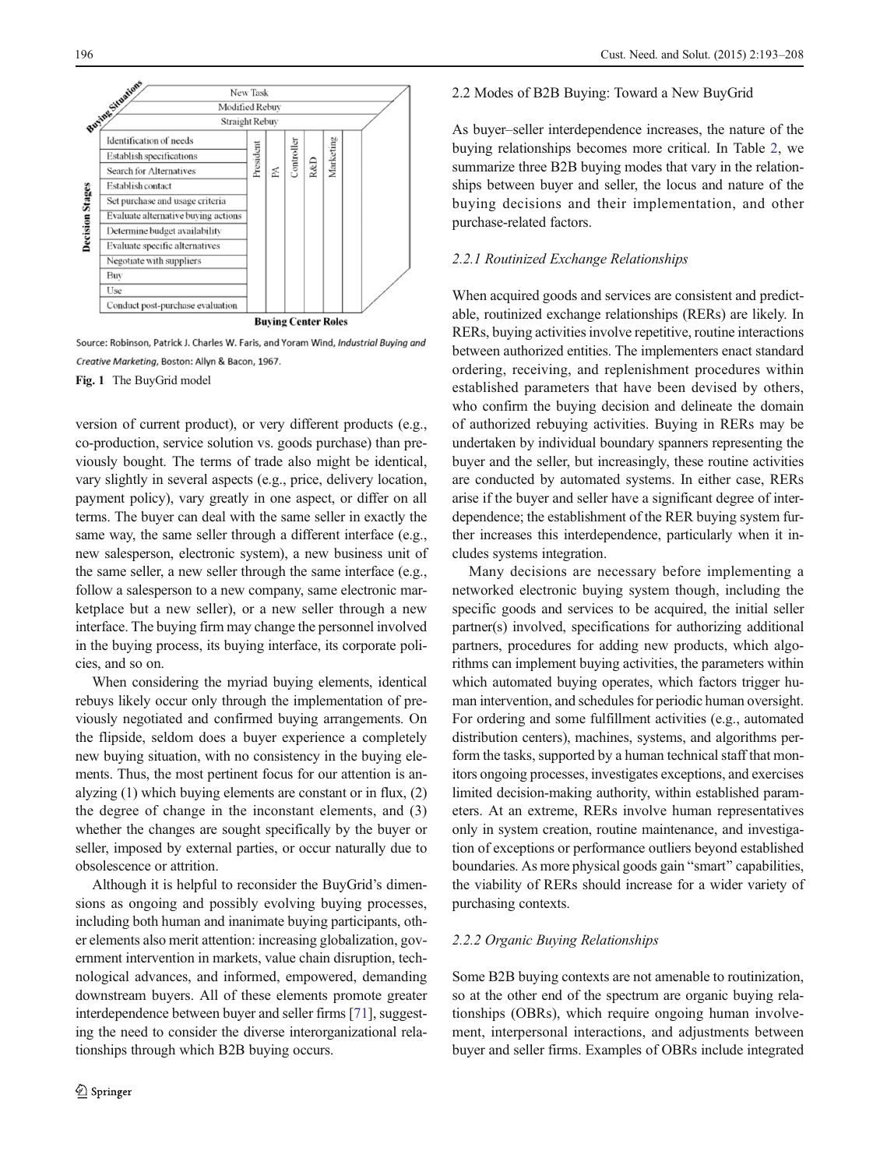<span id="page-3-0"></span>

Source: Robinson, Patrick J. Charles W. Faris, and Yoram Wind, Industrial Buying and Creative Marketing, Boston: Allyn & Bacon, 1967.

Fig. 1 The BuyGrid model

version of current product), or very different products (e.g., co-production, service solution vs. goods purchase) than previously bought. The terms of trade also might be identical, vary slightly in several aspects (e.g., price, delivery location, payment policy), vary greatly in one aspect, or differ on all terms. The buyer can deal with the same seller in exactly the same way, the same seller through a different interface (e.g., new salesperson, electronic system), a new business unit of the same seller, a new seller through the same interface (e.g., follow a salesperson to a new company, same electronic marketplace but a new seller), or a new seller through a new interface. The buying firm may change the personnel involved in the buying process, its buying interface, its corporate policies, and so on.

When considering the myriad buying elements, identical rebuys likely occur only through the implementation of previously negotiated and confirmed buying arrangements. On the flipside, seldom does a buyer experience a completely new buying situation, with no consistency in the buying elements. Thus, the most pertinent focus for our attention is analyzing (1) which buying elements are constant or in flux, (2) the degree of change in the inconstant elements, and (3) whether the changes are sought specifically by the buyer or seller, imposed by external parties, or occur naturally due to obsolescence or attrition.

Although it is helpful to reconsider the BuyGrid's dimensions as ongoing and possibly evolving buying processes, including both human and inanimate buying participants, other elements also merit attention: increasing globalization, government intervention in markets, value chain disruption, technological advances, and informed, empowered, demanding downstream buyers. All of these elements promote greater interdependence between buyer and seller firms [\[71](#page-15-0)], suggesting the need to consider the diverse interorganizational relationships through which B2B buying occurs.

#### 2.2 Modes of B2B Buying: Toward a New BuyGrid

As buyer–seller interdependence increases, the nature of the buying relationships becomes more critical. In Table [2,](#page-4-0) we summarize three B2B buying modes that vary in the relationships between buyer and seller, the locus and nature of the buying decisions and their implementation, and other purchase-related factors.

#### 2.2.1 Routinized Exchange Relationships

When acquired goods and services are consistent and predictable, routinized exchange relationships (RERs) are likely. In RERs, buying activities involve repetitive, routine interactions between authorized entities. The implementers enact standard ordering, receiving, and replenishment procedures within established parameters that have been devised by others, who confirm the buying decision and delineate the domain of authorized rebuying activities. Buying in RERs may be undertaken by individual boundary spanners representing the buyer and the seller, but increasingly, these routine activities are conducted by automated systems. In either case, RERs arise if the buyer and seller have a significant degree of interdependence; the establishment of the RER buying system further increases this interdependence, particularly when it includes systems integration.

Many decisions are necessary before implementing a networked electronic buying system though, including the specific goods and services to be acquired, the initial seller partner(s) involved, specifications for authorizing additional partners, procedures for adding new products, which algorithms can implement buying activities, the parameters within which automated buying operates, which factors trigger human intervention, and schedules for periodic human oversight. For ordering and some fulfillment activities (e.g., automated distribution centers), machines, systems, and algorithms perform the tasks, supported by a human technical staff that monitors ongoing processes, investigates exceptions, and exercises limited decision-making authority, within established parameters. At an extreme, RERs involve human representatives only in system creation, routine maintenance, and investigation of exceptions or performance outliers beyond established boundaries. As more physical goods gain "smart" capabilities, the viability of RERs should increase for a wider variety of purchasing contexts.

#### 2.2.2 Organic Buying Relationships

Some B2B buying contexts are not amenable to routinization, so at the other end of the spectrum are organic buying relationships (OBRs), which require ongoing human involvement, interpersonal interactions, and adjustments between buyer and seller firms. Examples of OBRs include integrated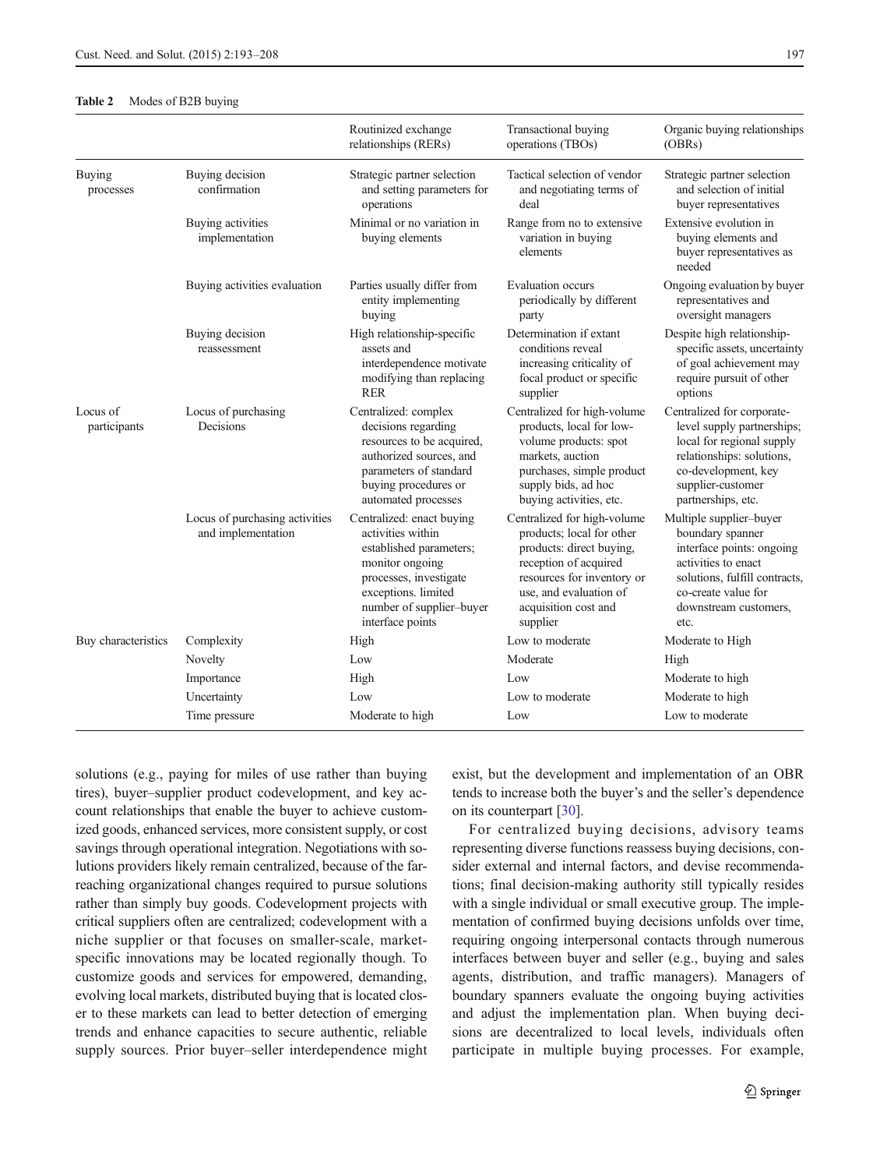#### <span id="page-4-0"></span>Table 2 Modes of B2B buying

|                          |                                                      | Routinized exchange<br>relationships (RERs)                                                                                                                                                   | Transactional buying<br>operations (TBOs)                                                                                                                                                                 | Organic buying relationships<br>(OBRs)                                                                                                                                                   |
|--------------------------|------------------------------------------------------|-----------------------------------------------------------------------------------------------------------------------------------------------------------------------------------------------|-----------------------------------------------------------------------------------------------------------------------------------------------------------------------------------------------------------|------------------------------------------------------------------------------------------------------------------------------------------------------------------------------------------|
| Buying<br>processes      | Buying decision<br>confirmation                      | Strategic partner selection<br>and setting parameters for<br>operations                                                                                                                       | Tactical selection of vendor<br>and negotiating terms of<br>deal                                                                                                                                          | Strategic partner selection<br>and selection of initial<br>buyer representatives                                                                                                         |
|                          | Buying activities<br>implementation                  | Minimal or no variation in<br>buying elements                                                                                                                                                 | Range from no to extensive<br>variation in buying<br>elements                                                                                                                                             | Extensive evolution in<br>buying elements and<br>buyer representatives as<br>needed                                                                                                      |
|                          | Buying activities evaluation                         | Parties usually differ from<br>entity implementing<br>buying                                                                                                                                  | Evaluation occurs<br>periodically by different<br>party                                                                                                                                                   | Ongoing evaluation by buyer<br>representatives and<br>oversight managers                                                                                                                 |
|                          | Buying decision<br>reassessment                      | High relationship-specific<br>assets and<br>interdependence motivate<br>modifying than replacing<br><b>RER</b>                                                                                | Determination if extant<br>conditions reveal<br>increasing criticality of<br>focal product or specific<br>supplier                                                                                        | Despite high relationship-<br>specific assets, uncertainty<br>of goal achievement may<br>require pursuit of other<br>options                                                             |
| Locus of<br>participants | Locus of purchasing<br>Decisions                     | Centralized: complex<br>decisions regarding<br>resources to be acquired,<br>authorized sources, and<br>parameters of standard<br>buying procedures or<br>automated processes                  | Centralized for high-volume<br>products, local for low-<br>volume products: spot<br>markets, auction<br>purchases, simple product<br>supply bids, ad hoc<br>buying activities, etc.                       | Centralized for corporate-<br>level supply partnerships;<br>local for regional supply<br>relationships: solutions,<br>co-development, key<br>supplier-customer<br>partnerships, etc.     |
|                          | Locus of purchasing activities<br>and implementation | Centralized: enact buying<br>activities within<br>established parameters;<br>monitor ongoing<br>processes, investigate<br>exceptions. limited<br>number of supplier-buyer<br>interface points | Centralized for high-volume<br>products; local for other<br>products: direct buying,<br>reception of acquired<br>resources for inventory or<br>use, and evaluation of<br>acquisition cost and<br>supplier | Multiple supplier-buyer<br>boundary spanner<br>interface points: ongoing<br>activities to enact<br>solutions, fulfill contracts,<br>co-create value for<br>downstream customers,<br>etc. |
| Buy characteristics      | Complexity                                           | High                                                                                                                                                                                          | Low to moderate                                                                                                                                                                                           | Moderate to High                                                                                                                                                                         |
|                          | Novelty                                              | Low                                                                                                                                                                                           | Moderate                                                                                                                                                                                                  | High                                                                                                                                                                                     |
|                          | Importance                                           | High                                                                                                                                                                                          | Low                                                                                                                                                                                                       | Moderate to high                                                                                                                                                                         |
|                          | Uncertainty                                          | Low                                                                                                                                                                                           | Low to moderate                                                                                                                                                                                           | Moderate to high                                                                                                                                                                         |
|                          | Time pressure                                        | Moderate to high                                                                                                                                                                              | Low                                                                                                                                                                                                       | Low to moderate                                                                                                                                                                          |

solutions (e.g., paying for miles of use rather than buying tires), buyer–supplier product codevelopment, and key account relationships that enable the buyer to achieve customized goods, enhanced services, more consistent supply, or cost savings through operational integration. Negotiations with solutions providers likely remain centralized, because of the farreaching organizational changes required to pursue solutions rather than simply buy goods. Codevelopment projects with critical suppliers often are centralized; codevelopment with a niche supplier or that focuses on smaller-scale, marketspecific innovations may be located regionally though. To customize goods and services for empowered, demanding, evolving local markets, distributed buying that is located closer to these markets can lead to better detection of emerging trends and enhance capacities to secure authentic, reliable supply sources. Prior buyer–seller interdependence might exist, but the development and implementation of an OBR tends to increase both the buyer's and the seller's dependence on its counterpart [[30\]](#page-14-0).

For centralized buying decisions, advisory teams representing diverse functions reassess buying decisions, consider external and internal factors, and devise recommendations; final decision-making authority still typically resides with a single individual or small executive group. The implementation of confirmed buying decisions unfolds over time, requiring ongoing interpersonal contacts through numerous interfaces between buyer and seller (e.g., buying and sales agents, distribution, and traffic managers). Managers of boundary spanners evaluate the ongoing buying activities and adjust the implementation plan. When buying decisions are decentralized to local levels, individuals often participate in multiple buying processes. For example,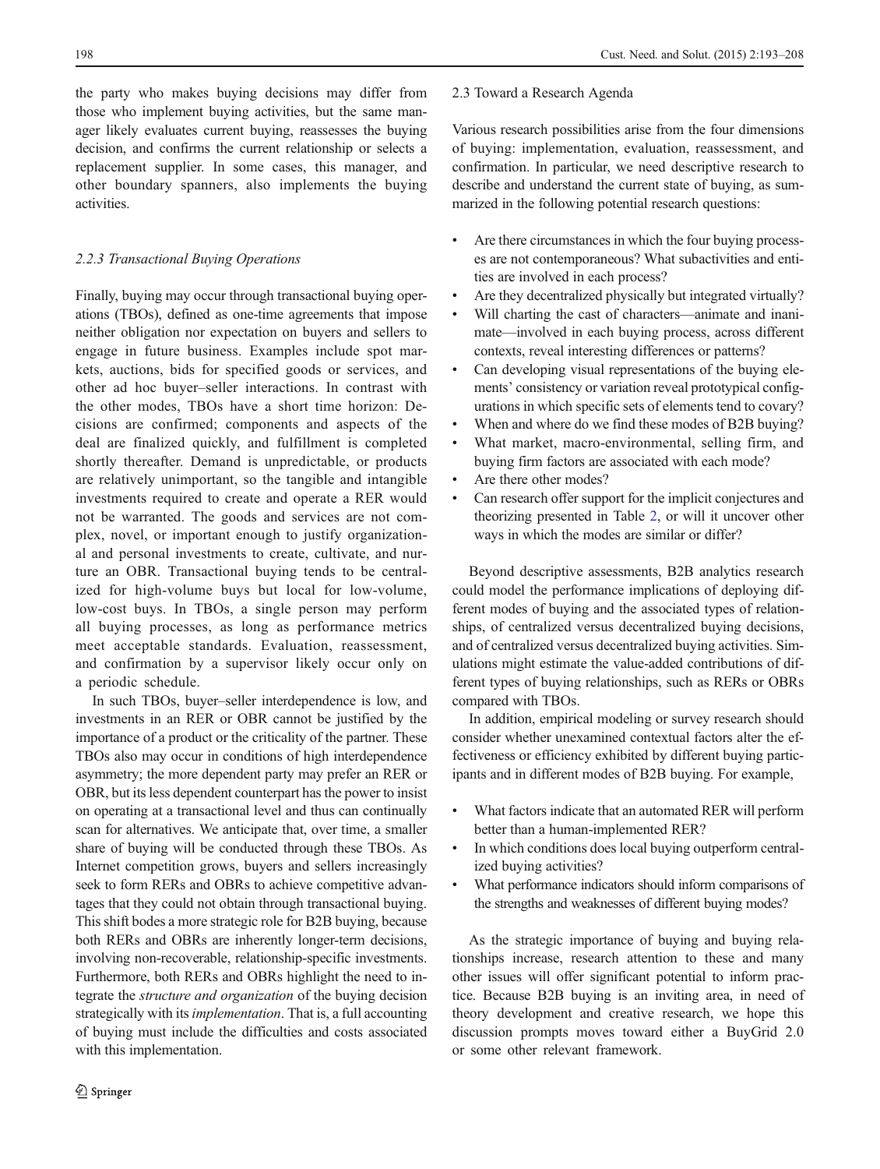the party who makes buying decisions may differ from those who implement buying activities, but the same manager likely evaluates current buying, reassesses the buying decision, and confirms the current relationship or selects a replacement supplier. In some cases, this manager, and other boundary spanners, also implements the buying activities.

## 2.2.3 Transactional Buying Operations

Finally, buying may occur through transactional buying operations (TBOs), defined as one-time agreements that impose neither obligation nor expectation on buyers and sellers to engage in future business. Examples include spot markets, auctions, bids for specified goods or services, and other ad hoc buyer–seller interactions. In contrast with the other modes, TBOs have a short time horizon: Decisions are confirmed; components and aspects of the deal are finalized quickly, and fulfillment is completed shortly thereafter. Demand is unpredictable, or products are relatively unimportant, so the tangible and intangible investments required to create and operate a RER would not be warranted. The goods and services are not complex, novel, or important enough to justify organizational and personal investments to create, cultivate, and nurture an OBR. Transactional buying tends to be centralized for high-volume buys but local for low-volume, low-cost buys. In TBOs, a single person may perform all buying processes, as long as performance metrics meet acceptable standards. Evaluation, reassessment, and confirmation by a supervisor likely occur only on a periodic schedule.

In such TBOs, buyer–seller interdependence is low, and investments in an RER or OBR cannot be justified by the importance of a product or the criticality of the partner. These TBOs also may occur in conditions of high interdependence asymmetry; the more dependent party may prefer an RER or OBR, but its less dependent counterpart has the power to insist on operating at a transactional level and thus can continually scan for alternatives. We anticipate that, over time, a smaller share of buying will be conducted through these TBOs. As Internet competition grows, buyers and sellers increasingly seek to form RERs and OBRs to achieve competitive advantages that they could not obtain through transactional buying. This shift bodes a more strategic role for B2B buying, because both RERs and OBRs are inherently longer-term decisions, involving non-recoverable, relationship-specific investments. Furthermore, both RERs and OBRs highlight the need to integrate the structure and organization of the buying decision strategically with its *implementation*. That is, a full accounting of buying must include the difficulties and costs associated with this implementation.

#### 2.3 Toward a Research Agenda

Various research possibilities arise from the four dimensions of buying: implementation, evaluation, reassessment, and confirmation. In particular, we need descriptive research to describe and understand the current state of buying, as summarized in the following potential research questions:

- & Are there circumstances in which the four buying processes are not contemporaneous? What subactivities and entities are involved in each process?
- Are they decentralized physically but integrated virtually?
- Will charting the cast of characters—animate and inanimate—involved in each buying process, across different contexts, reveal interesting differences or patterns?
- Can developing visual representations of the buying elements' consistency or variation reveal prototypical configurations in which specific sets of elements tend to covary?
- & When and where do we find these modes of B2B buying?
- & What market, macro-environmental, selling firm, and buying firm factors are associated with each mode?
- Are there other modes?
- Can research offer support for the implicit conjectures and theorizing presented in Table [2,](#page-4-0) or will it uncover other ways in which the modes are similar or differ?

Beyond descriptive assessments, B2B analytics research could model the performance implications of deploying different modes of buying and the associated types of relationships, of centralized versus decentralized buying decisions, and of centralized versus decentralized buying activities. Simulations might estimate the value-added contributions of different types of buying relationships, such as RERs or OBRs compared with TBOs.

In addition, empirical modeling or survey research should consider whether unexamined contextual factors alter the effectiveness or efficiency exhibited by different buying participants and in different modes of B2B buying. For example,

- What factors indicate that an automated RER will perform better than a human-implemented RER?
- In which conditions does local buying outperform centralized buying activities?
- & What performance indicators should inform comparisons of the strengths and weaknesses of different buying modes?

As the strategic importance of buying and buying relationships increase, research attention to these and many other issues will offer significant potential to inform practice. Because B2B buying is an inviting area, in need of theory development and creative research, we hope this discussion prompts moves toward either a BuyGrid 2.0 or some other relevant framework.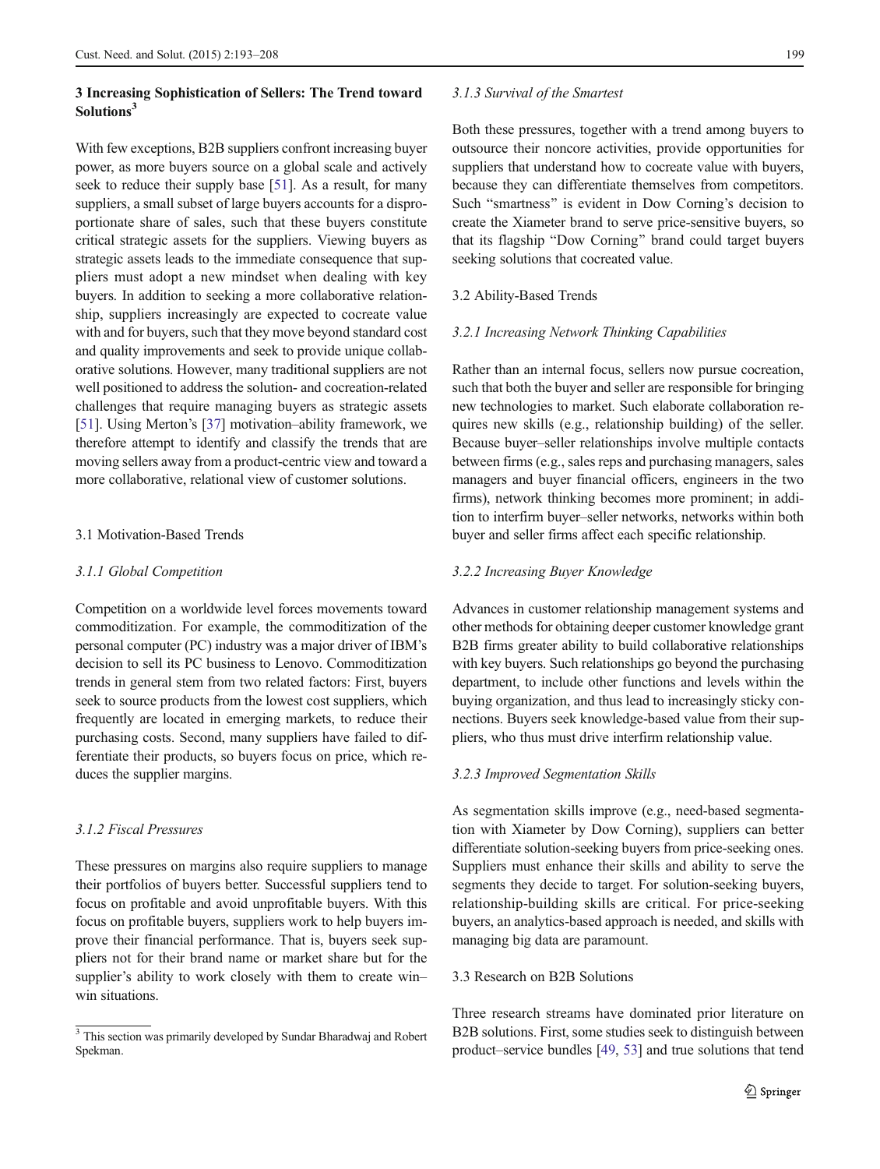## 3 Increasing Sophistication of Sellers: The Trend toward Solutions<sup>3</sup>

With few exceptions, B2B suppliers confront increasing buyer power, as more buyers source on a global scale and actively seek to reduce their supply base [\[51](#page-14-0)]. As a result, for many suppliers, a small subset of large buyers accounts for a disproportionate share of sales, such that these buyers constitute critical strategic assets for the suppliers. Viewing buyers as strategic assets leads to the immediate consequence that suppliers must adopt a new mindset when dealing with key buyers. In addition to seeking a more collaborative relationship, suppliers increasingly are expected to cocreate value with and for buyers, such that they move beyond standard cost and quality improvements and seek to provide unique collaborative solutions. However, many traditional suppliers are not well positioned to address the solution- and cocreation-related challenges that require managing buyers as strategic assets [\[51\]](#page-14-0). Using Merton's [[37](#page-14-0)] motivation–ability framework, we therefore attempt to identify and classify the trends that are moving sellers away from a product-centric view and toward a more collaborative, relational view of customer solutions.

### 3.1 Motivation-Based Trends

#### 3.1.1 Global Competition

Competition on a worldwide level forces movements toward commoditization. For example, the commoditization of the personal computer (PC) industry was a major driver of IBM's decision to sell its PC business to Lenovo. Commoditization trends in general stem from two related factors: First, buyers seek to source products from the lowest cost suppliers, which frequently are located in emerging markets, to reduce their purchasing costs. Second, many suppliers have failed to differentiate their products, so buyers focus on price, which reduces the supplier margins.

## 3.1.2 Fiscal Pressures

These pressures on margins also require suppliers to manage their portfolios of buyers better. Successful suppliers tend to focus on profitable and avoid unprofitable buyers. With this focus on profitable buyers, suppliers work to help buyers improve their financial performance. That is, buyers seek suppliers not for their brand name or market share but for the supplier's ability to work closely with them to create win– win situations.

#### 3.1.3 Survival of the Smartest

Both these pressures, together with a trend among buyers to outsource their noncore activities, provide opportunities for suppliers that understand how to cocreate value with buyers, because they can differentiate themselves from competitors. Such "smartness" is evident in Dow Corning's decision to create the Xiameter brand to serve price-sensitive buyers, so that its flagship "Dow Corning" brand could target buyers seeking solutions that cocreated value.

#### 3.2 Ability-Based Trends

#### 3.2.1 Increasing Network Thinking Capabilities

Rather than an internal focus, sellers now pursue cocreation, such that both the buyer and seller are responsible for bringing new technologies to market. Such elaborate collaboration requires new skills (e.g., relationship building) of the seller. Because buyer–seller relationships involve multiple contacts between firms (e.g., sales reps and purchasing managers, sales managers and buyer financial officers, engineers in the two firms), network thinking becomes more prominent; in addition to interfirm buyer–seller networks, networks within both buyer and seller firms affect each specific relationship.

#### 3.2.2 Increasing Buyer Knowledge

Advances in customer relationship management systems and other methods for obtaining deeper customer knowledge grant B2B firms greater ability to build collaborative relationships with key buyers. Such relationships go beyond the purchasing department, to include other functions and levels within the buying organization, and thus lead to increasingly sticky connections. Buyers seek knowledge-based value from their suppliers, who thus must drive interfirm relationship value.

#### 3.2.3 Improved Segmentation Skills

As segmentation skills improve (e.g., need-based segmentation with Xiameter by Dow Corning), suppliers can better differentiate solution-seeking buyers from price-seeking ones. Suppliers must enhance their skills and ability to serve the segments they decide to target. For solution-seeking buyers, relationship-building skills are critical. For price-seeking buyers, an analytics-based approach is needed, and skills with managing big data are paramount.

#### 3.3 Research on B2B Solutions

Three research streams have dominated prior literature on B2B solutions. First, some studies seek to distinguish between product–service bundles [[49,](#page-14-0) [53\]](#page-14-0) and true solutions that tend

<sup>&</sup>lt;sup>3</sup> This section was primarily developed by Sundar Bharadwaj and Robert Spekman.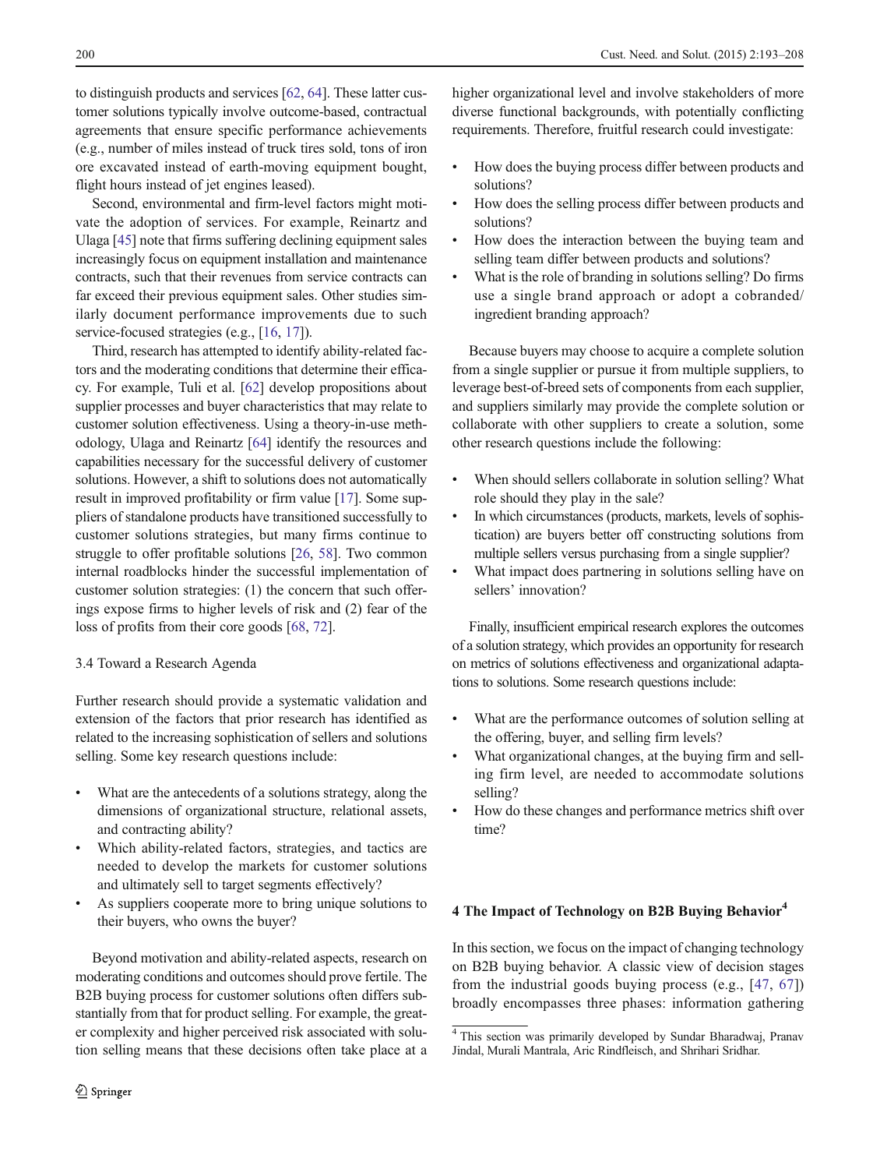to distinguish products and services [[62,](#page-15-0) [64](#page-15-0)]. These latter customer solutions typically involve outcome-based, contractual agreements that ensure specific performance achievements (e.g., number of miles instead of truck tires sold, tons of iron ore excavated instead of earth-moving equipment bought, flight hours instead of jet engines leased).

Second, environmental and firm-level factors might motivate the adoption of services. For example, Reinartz and Ulaga [\[45](#page-14-0)] note that firms suffering declining equipment sales increasingly focus on equipment installation and maintenance contracts, such that their revenues from service contracts can far exceed their previous equipment sales. Other studies similarly document performance improvements due to such service-focused strategies (e.g., [\[16,](#page-14-0) [17\]](#page-14-0)).

Third, research has attempted to identify ability-related factors and the moderating conditions that determine their efficacy. For example, Tuli et al. [[62\]](#page-15-0) develop propositions about supplier processes and buyer characteristics that may relate to customer solution effectiveness. Using a theory-in-use methodology, Ulaga and Reinartz [[64\]](#page-15-0) identify the resources and capabilities necessary for the successful delivery of customer solutions. However, a shift to solutions does not automatically result in improved profitability or firm value [[17](#page-14-0)]. Some suppliers of standalone products have transitioned successfully to customer solutions strategies, but many firms continue to struggle to offer profitable solutions [\[26,](#page-14-0) [58](#page-14-0)]. Two common internal roadblocks hinder the successful implementation of customer solution strategies: (1) the concern that such offerings expose firms to higher levels of risk and (2) fear of the loss of profits from their core goods [\[68,](#page-15-0) [72\]](#page-15-0).

## 3.4 Toward a Research Agenda

Further research should provide a systematic validation and extension of the factors that prior research has identified as related to the increasing sophistication of sellers and solutions selling. Some key research questions include:

- What are the antecedents of a solutions strategy, along the dimensions of organizational structure, relational assets, and contracting ability?
- Which ability-related factors, strategies, and tactics are needed to develop the markets for customer solutions and ultimately sell to target segments effectively?
- As suppliers cooperate more to bring unique solutions to their buyers, who owns the buyer?

Beyond motivation and ability-related aspects, research on moderating conditions and outcomes should prove fertile. The B2B buying process for customer solutions often differs substantially from that for product selling. For example, the greater complexity and higher perceived risk associated with solution selling means that these decisions often take place at a higher organizational level and involve stakeholders of more diverse functional backgrounds, with potentially conflicting requirements. Therefore, fruitful research could investigate:

- & How does the buying process differ between products and solutions?
- & How does the selling process differ between products and solutions?
- & How does the interaction between the buying team and selling team differ between products and solutions?
- What is the role of branding in solutions selling? Do firms use a single brand approach or adopt a cobranded/ ingredient branding approach?

Because buyers may choose to acquire a complete solution from a single supplier or pursue it from multiple suppliers, to leverage best-of-breed sets of components from each supplier, and suppliers similarly may provide the complete solution or collaborate with other suppliers to create a solution, some other research questions include the following:

- When should sellers collaborate in solution selling? What role should they play in the sale?
- & In which circumstances (products, markets, levels of sophistication) are buyers better off constructing solutions from multiple sellers versus purchasing from a single supplier?
- What impact does partnering in solutions selling have on sellers' innovation?

Finally, insufficient empirical research explores the outcomes of a solution strategy, which provides an opportunity for research on metrics of solutions effectiveness and organizational adaptations to solutions. Some research questions include:

- What are the performance outcomes of solution selling at the offering, buyer, and selling firm levels?
- What organizational changes, at the buying firm and selling firm level, are needed to accommodate solutions selling?
- & How do these changes and performance metrics shift over time?

## 4 The Impact of Technology on B2B Buying Behavior<sup>4</sup>

In this section, we focus on the impact of changing technology on B2B buying behavior. A classic view of decision stages from the industrial goods buying process (e.g., [[47](#page-14-0), [67\]](#page-15-0)) broadly encompasses three phases: information gathering

<sup>&</sup>lt;sup>4</sup> This section was primarily developed by Sundar Bharadwaj, Pranav Jindal, Murali Mantrala, Aric Rindfleisch, and Shrihari Sridhar.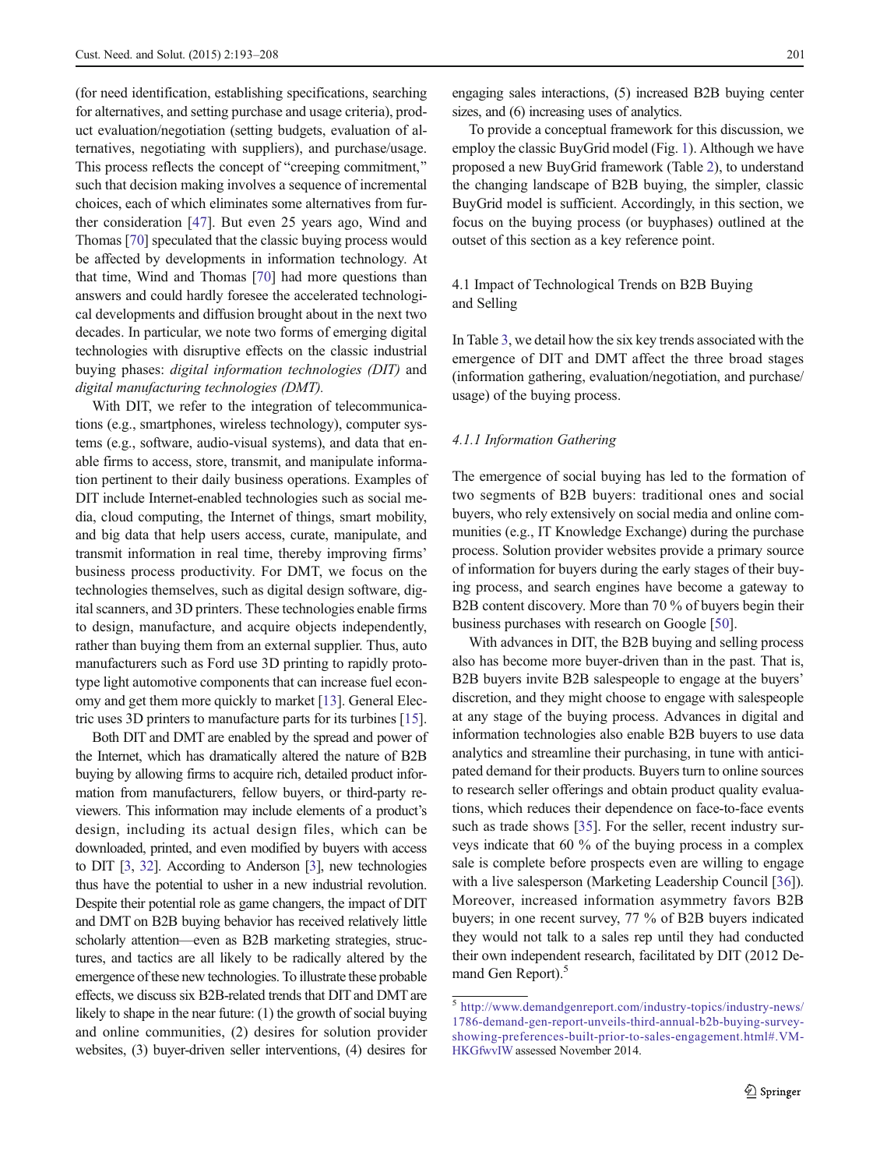(for need identification, establishing specifications, searching for alternatives, and setting purchase and usage criteria), product evaluation/negotiation (setting budgets, evaluation of alternatives, negotiating with suppliers), and purchase/usage. This process reflects the concept of "creeping commitment," such that decision making involves a sequence of incremental choices, each of which eliminates some alternatives from further consideration [\[47](#page-14-0)]. But even 25 years ago, Wind and Thomas [[70\]](#page-15-0) speculated that the classic buying process would be affected by developments in information technology. At that time, Wind and Thomas [[70\]](#page-15-0) had more questions than answers and could hardly foresee the accelerated technological developments and diffusion brought about in the next two decades. In particular, we note two forms of emerging digital technologies with disruptive effects on the classic industrial buying phases: digital information technologies (DIT) and digital manufacturing technologies (DMT).

With DIT, we refer to the integration of telecommunications (e.g., smartphones, wireless technology), computer systems (e.g., software, audio-visual systems), and data that enable firms to access, store, transmit, and manipulate information pertinent to their daily business operations. Examples of DIT include Internet-enabled technologies such as social media, cloud computing, the Internet of things, smart mobility, and big data that help users access, curate, manipulate, and transmit information in real time, thereby improving firms' business process productivity. For DMT, we focus on the technologies themselves, such as digital design software, digital scanners, and 3D printers. These technologies enable firms to design, manufacture, and acquire objects independently, rather than buying them from an external supplier. Thus, auto manufacturers such as Ford use 3D printing to rapidly prototype light automotive components that can increase fuel economy and get them more quickly to market [\[13](#page-14-0)]. General Electric uses 3D printers to manufacture parts for its turbines [[15\]](#page-14-0).

Both DIT and DMT are enabled by the spread and power of the Internet, which has dramatically altered the nature of B2B buying by allowing firms to acquire rich, detailed product information from manufacturers, fellow buyers, or third-party reviewers. This information may include elements of a product's design, including its actual design files, which can be downloaded, printed, and even modified by buyers with access to DIT [\[3,](#page-13-0) [32](#page-14-0)]. According to Anderson [\[3](#page-13-0)], new technologies thus have the potential to usher in a new industrial revolution. Despite their potential role as game changers, the impact of DIT and DMT on B2B buying behavior has received relatively little scholarly attention—even as B2B marketing strategies, structures, and tactics are all likely to be radically altered by the emergence of these new technologies. To illustrate these probable effects, we discuss six B2B-related trends that DIT and DMT are likely to shape in the near future: (1) the growth of social buying and online communities, (2) desires for solution provider websites, (3) buyer-driven seller interventions, (4) desires for engaging sales interactions, (5) increased B2B buying center sizes, and (6) increasing uses of analytics.

To provide a conceptual framework for this discussion, we employ the classic BuyGrid model (Fig. [1](#page-3-0)). Although we have proposed a new BuyGrid framework (Table [2](#page-4-0)), to understand the changing landscape of B2B buying, the simpler, classic BuyGrid model is sufficient. Accordingly, in this section, we focus on the buying process (or buyphases) outlined at the outset of this section as a key reference point.

## 4.1 Impact of Technological Trends on B2B Buying and Selling

In Table [3](#page-10-0), we detail how the six key trends associated with the emergence of DIT and DMT affect the three broad stages (information gathering, evaluation/negotiation, and purchase/ usage) of the buying process.

#### 4.1.1 Information Gathering

The emergence of social buying has led to the formation of two segments of B2B buyers: traditional ones and social buyers, who rely extensively on social media and online communities (e.g., IT Knowledge Exchange) during the purchase process. Solution provider websites provide a primary source of information for buyers during the early stages of their buying process, and search engines have become a gateway to B2B content discovery. More than 70 % of buyers begin their business purchases with research on Google [[50\]](#page-14-0).

With advances in DIT, the B2B buying and selling process also has become more buyer-driven than in the past. That is, B2B buyers invite B2B salespeople to engage at the buyers' discretion, and they might choose to engage with salespeople at any stage of the buying process. Advances in digital and information technologies also enable B2B buyers to use data analytics and streamline their purchasing, in tune with anticipated demand for their products. Buyers turn to online sources to research seller offerings and obtain product quality evaluations, which reduces their dependence on face-to-face events such as trade shows [[35](#page-14-0)]. For the seller, recent industry surveys indicate that 60 % of the buying process in a complex sale is complete before prospects even are willing to engage with a live salesperson (Marketing Leadership Council [[36\]](#page-14-0)). Moreover, increased information asymmetry favors B2B buyers; in one recent survey, 77 % of B2B buyers indicated they would not talk to a sales rep until they had conducted their own independent research, facilitated by DIT (2012 Demand Gen Report).<sup>5</sup>

<sup>5</sup> [http://www.demandgenreport.com/industry-topics/industry-news/](http://www.demandgenreport.com/industry-topics/industry-news/1786-demand-gen-report-unveils-third-annual-b2b-buying-survey-showing-preferences-built-prior-to-sales-engagement.html%23.VM-HKGfwvIW) [1786-demand-gen-report-unveils-third-annual-b2b-buying-survey](http://www.demandgenreport.com/industry-topics/industry-news/1786-demand-gen-report-unveils-third-annual-b2b-buying-survey-showing-preferences-built-prior-to-sales-engagement.html%23.VM-HKGfwvIW)[showing-preferences-built-prior-to-sales-engagement.html#.VM-](http://www.demandgenreport.com/industry-topics/industry-news/1786-demand-gen-report-unveils-third-annual-b2b-buying-survey-showing-preferences-built-prior-to-sales-engagement.html%23.VM-HKGfwvIW)[HKGfwvIW](http://www.demandgenreport.com/industry-topics/industry-news/1786-demand-gen-report-unveils-third-annual-b2b-buying-survey-showing-preferences-built-prior-to-sales-engagement.html%23.VM-HKGfwvIW) assessed November 2014.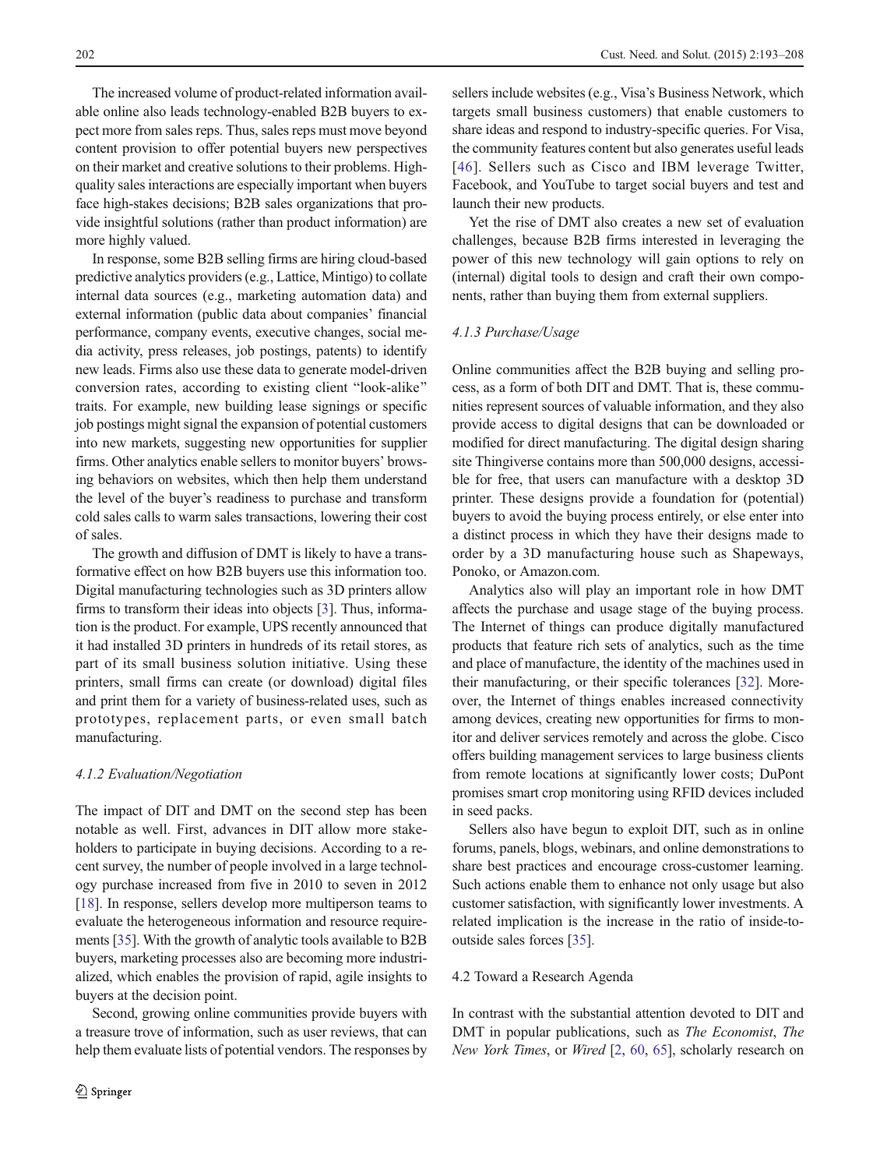The increased volume of product-related information available online also leads technology-enabled B2B buyers to expect more from sales reps. Thus, sales reps must move beyond content provision to offer potential buyers new perspectives on their market and creative solutions to their problems. Highquality sales interactions are especially important when buyers face high-stakes decisions; B2B sales organizations that provide insightful solutions (rather than product information) are more highly valued.

In response, some B2B selling firms are hiring cloud-based predictive analytics providers (e.g., Lattice, Mintigo) to collate internal data sources (e.g., marketing automation data) and external information (public data about companies' financial performance, company events, executive changes, social media activity, press releases, job postings, patents) to identify new leads. Firms also use these data to generate model-driven conversion rates, according to existing client "look-alike" traits. For example, new building lease signings or specific job postings might signal the expansion of potential customers into new markets, suggesting new opportunities for supplier firms. Other analytics enable sellers to monitor buyers' browsing behaviors on websites, which then help them understand the level of the buyer's readiness to purchase and transform cold sales calls to warm sales transactions, lowering their cost of sales.

The growth and diffusion of DMT is likely to have a transformative effect on how B2B buyers use this information too. Digital manufacturing technologies such as 3D printers allow firms to transform their ideas into objects [[3\]](#page-13-0). Thus, information is the product. For example, UPS recently announced that it had installed 3D printers in hundreds of its retail stores, as part of its small business solution initiative. Using these printers, small firms can create (or download) digital files and print them for a variety of business-related uses, such as prototypes, replacement parts, or even small batch manufacturing.

#### 4.1.2 Evaluation/Negotiation

The impact of DIT and DMT on the second step has been notable as well. First, advances in DIT allow more stakeholders to participate in buying decisions. According to a recent survey, the number of people involved in a large technology purchase increased from five in 2010 to seven in 2012 [\[18\]](#page-14-0). In response, sellers develop more multiperson teams to evaluate the heterogeneous information and resource requirements [\[35](#page-14-0)]. With the growth of analytic tools available to B2B buyers, marketing processes also are becoming more industrialized, which enables the provision of rapid, agile insights to buyers at the decision point.

Second, growing online communities provide buyers with a treasure trove of information, such as user reviews, that can help them evaluate lists of potential vendors. The responses by

sellers include websites (e.g., Visa's Business Network, which targets small business customers) that enable customers to share ideas and respond to industry-specific queries. For Visa, the community features content but also generates useful leads [[46](#page-14-0)]. Sellers such as Cisco and IBM leverage Twitter, Facebook, and YouTube to target social buyers and test and launch their new products.

Yet the rise of DMT also creates a new set of evaluation challenges, because B2B firms interested in leveraging the power of this new technology will gain options to rely on (internal) digital tools to design and craft their own components, rather than buying them from external suppliers.

## 4.1.3 Purchase/Usage

Online communities affect the B2B buying and selling process, as a form of both DIT and DMT. That is, these communities represent sources of valuable information, and they also provide access to digital designs that can be downloaded or modified for direct manufacturing. The digital design sharing site Thingiverse contains more than 500,000 designs, accessible for free, that users can manufacture with a desktop 3D printer. These designs provide a foundation for (potential) buyers to avoid the buying process entirely, or else enter into a distinct process in which they have their designs made to order by a 3D manufacturing house such as Shapeways, Ponoko, or Amazon.com.

Analytics also will play an important role in how DMT affects the purchase and usage stage of the buying process. The Internet of things can produce digitally manufactured products that feature rich sets of analytics, such as the time and place of manufacture, the identity of the machines used in their manufacturing, or their specific tolerances [\[32\]](#page-14-0). Moreover, the Internet of things enables increased connectivity among devices, creating new opportunities for firms to monitor and deliver services remotely and across the globe. Cisco offers building management services to large business clients from remote locations at significantly lower costs; DuPont promises smart crop monitoring using RFID devices included in seed packs.

Sellers also have begun to exploit DIT, such as in online forums, panels, blogs, webinars, and online demonstrations to share best practices and encourage cross-customer learning. Such actions enable them to enhance not only usage but also customer satisfaction, with significantly lower investments. A related implication is the increase in the ratio of inside-tooutside sales forces [\[35](#page-14-0)].

#### 4.2 Toward a Research Agenda

In contrast with the substantial attention devoted to DIT and DMT in popular publications, such as The Economist, The New York Times, or Wired [\[2](#page-13-0), [60](#page-15-0), [65\]](#page-15-0), scholarly research on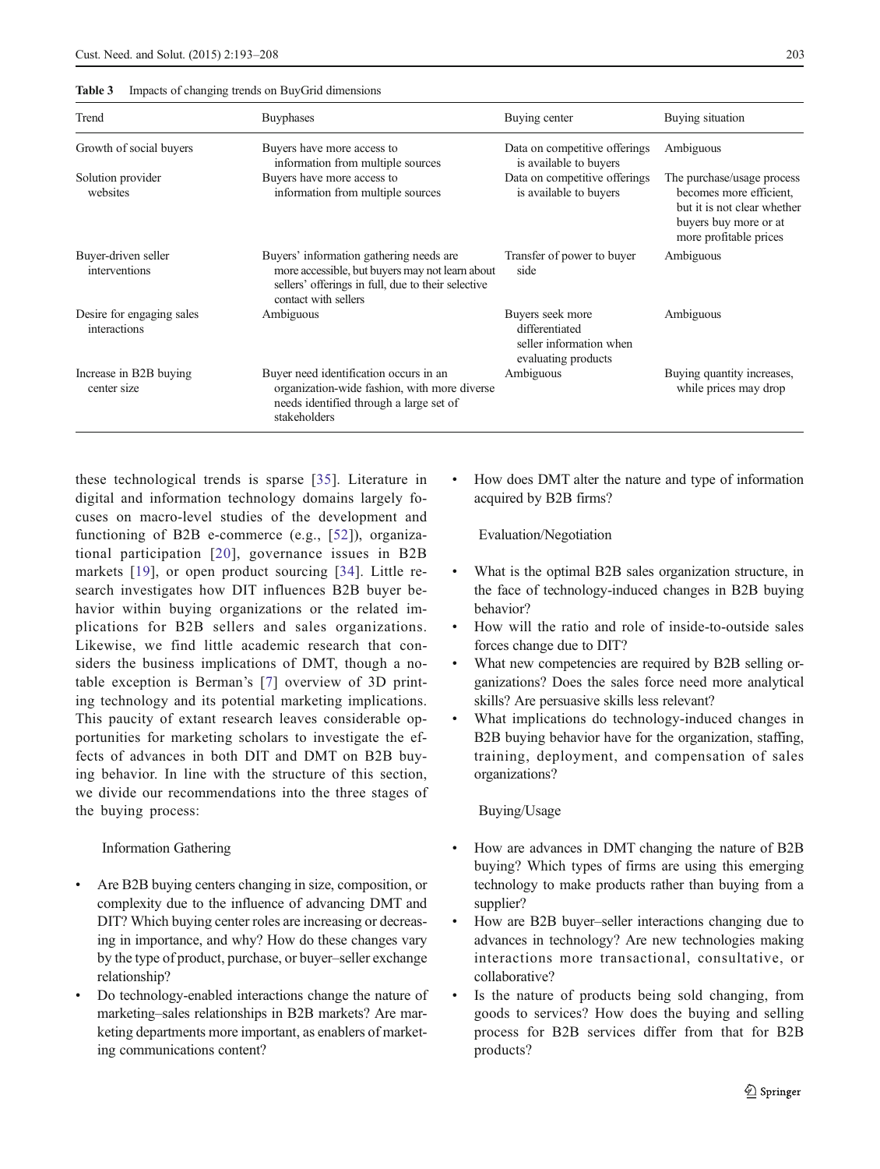<span id="page-10-0"></span>

| Table 3 |  |  |  |  | Impacts of changing trends on BuyGrid dimensions |
|---------|--|--|--|--|--------------------------------------------------|
|---------|--|--|--|--|--------------------------------------------------|

| Trend                                     | <b>Buyphases</b>                                                                                                                                                          | Buying center                                                                        | Buying situation                                                                                                                        |
|-------------------------------------------|---------------------------------------------------------------------------------------------------------------------------------------------------------------------------|--------------------------------------------------------------------------------------|-----------------------------------------------------------------------------------------------------------------------------------------|
| Growth of social buyers                   | Buyers have more access to<br>information from multiple sources                                                                                                           | Data on competitive offerings<br>is available to buyers                              | Ambiguous                                                                                                                               |
| Solution provider<br>websites             | Buyers have more access to<br>information from multiple sources                                                                                                           | Data on competitive offerings<br>is available to buyers                              | The purchase/usage process<br>becomes more efficient,<br>but it is not clear whether<br>buyers buy more or at<br>more profitable prices |
| Buyer-driven seller<br>interventions      | Buyers' information gathering needs are.<br>more accessible, but buyers may not learn about<br>sellers' offerings in full, due to their selective<br>contact with sellers | Transfer of power to buyer<br>side                                                   | Ambiguous                                                                                                                               |
| Desire for engaging sales<br>interactions | Ambiguous                                                                                                                                                                 | Buyers seek more<br>differentiated<br>seller information when<br>evaluating products | Ambiguous                                                                                                                               |
| Increase in B2B buying<br>center size     | Buyer need identification occurs in an<br>organization-wide fashion, with more diverse<br>needs identified through a large set of<br>stakeholders                         | Ambiguous                                                                            | Buying quantity increases,<br>while prices may drop                                                                                     |

these technological trends is sparse [\[35\]](#page-14-0). Literature in digital and information technology domains largely focuses on macro-level studies of the development and functioning of B2B e-commerce (e.g., [[52](#page-14-0)]), organizational participation [[20\]](#page-14-0), governance issues in B2B markets [[19\]](#page-14-0), or open product sourcing [[34](#page-14-0)]. Little research investigates how DIT influences B2B buyer behavior within buying organizations or the related implications for B2B sellers and sales organizations. Likewise, we find little academic research that considers the business implications of DMT, though a notable exception is Berman's [[7\]](#page-14-0) overview of 3D printing technology and its potential marketing implications. This paucity of extant research leaves considerable opportunities for marketing scholars to investigate the effects of advances in both DIT and DMT on B2B buying behavior. In line with the structure of this section, we divide our recommendations into the three stages of the buying process:

## Information Gathering

- Are B2B buying centers changing in size, composition, or complexity due to the influence of advancing DMT and DIT? Which buying center roles are increasing or decreasing in importance, and why? How do these changes vary by the type of product, purchase, or buyer–seller exchange relationship?
- & Do technology-enabled interactions change the nature of marketing–sales relationships in B2B markets? Are marketing departments more important, as enablers of marketing communications content?

& How does DMT alter the nature and type of information acquired by B2B firms?

Evaluation/Negotiation

- What is the optimal B2B sales organization structure, in the face of technology-induced changes in B2B buying behavior?
- & How will the ratio and role of inside-to-outside sales forces change due to DIT?
- What new competencies are required by B2B selling organizations? Does the sales force need more analytical skills? Are persuasive skills less relevant?
- What implications do technology-induced changes in B2B buying behavior have for the organization, staffing, training, deployment, and compensation of sales organizations?

## Buying/Usage

- & How are advances in DMT changing the nature of B2B buying? Which types of firms are using this emerging technology to make products rather than buying from a supplier?
- & How are B2B buyer–seller interactions changing due to advances in technology? Are new technologies making interactions more transactional, consultative, or collaborative?
- Is the nature of products being sold changing, from goods to services? How does the buying and selling process for B2B services differ from that for B2B products?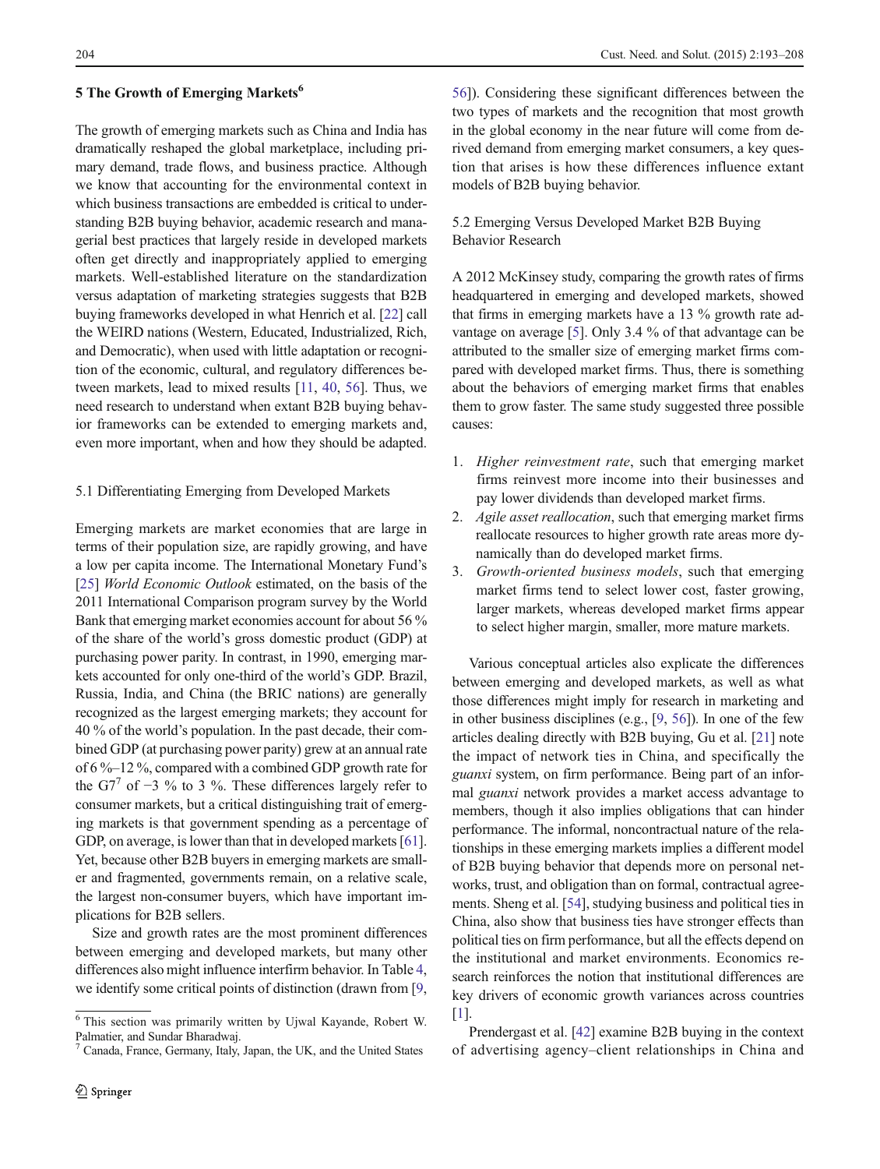#### 5 The Growth of Emerging Markets<sup>6</sup>

The growth of emerging markets such as China and India has dramatically reshaped the global marketplace, including primary demand, trade flows, and business practice. Although we know that accounting for the environmental context in which business transactions are embedded is critical to understanding B2B buying behavior, academic research and managerial best practices that largely reside in developed markets often get directly and inappropriately applied to emerging markets. Well-established literature on the standardization versus adaptation of marketing strategies suggests that B2B buying frameworks developed in what Henrich et al. [\[22\]](#page-14-0) call the WEIRD nations (Western, Educated, Industrialized, Rich, and Democratic), when used with little adaptation or recognition of the economic, cultural, and regulatory differences between markets, lead to mixed results [\[11,](#page-14-0) [40](#page-14-0), [56\]](#page-14-0). Thus, we need research to understand when extant B2B buying behavior frameworks can be extended to emerging markets and, even more important, when and how they should be adapted.

### 5.1 Differentiating Emerging from Developed Markets

Emerging markets are market economies that are large in terms of their population size, are rapidly growing, and have a low per capita income. The International Monetary Fund's [\[25\]](#page-14-0) *World Economic Outlook* estimated, on the basis of the 2011 International Comparison program survey by the World Bank that emerging market economies account for about 56 % of the share of the world's gross domestic product (GDP) at purchasing power parity. In contrast, in 1990, emerging markets accounted for only one-third of the world's GDP. Brazil, Russia, India, and China (the BRIC nations) are generally recognized as the largest emerging markets; they account for 40 % of the world's population. In the past decade, their combined GDP (at purchasing power parity) grew at an annual rate of 6 %–12 %, compared with a combined GDP growth rate for the G7<sup>7</sup> of −3 % to 3 %. These differences largely refer to consumer markets, but a critical distinguishing trait of emerging markets is that government spending as a percentage of GDP, on average, is lower than that in developed markets [[61\]](#page-15-0). Yet, because other B2B buyers in emerging markets are smaller and fragmented, governments remain, on a relative scale, the largest non-consumer buyers, which have important implications for B2B sellers.

Size and growth rates are the most prominent differences between emerging and developed markets, but many other differences also might influence interfirm behavior. In Table [4,](#page-12-0) we identify some critical points of distinction (drawn from [[9,](#page-14-0)

[56](#page-14-0)]). Considering these significant differences between the two types of markets and the recognition that most growth in the global economy in the near future will come from derived demand from emerging market consumers, a key question that arises is how these differences influence extant models of B2B buying behavior.

## 5.2 Emerging Versus Developed Market B2B Buying Behavior Research

A 2012 McKinsey study, comparing the growth rates of firms headquartered in emerging and developed markets, showed that firms in emerging markets have a 13 % growth rate advantage on average [\[5](#page-13-0)]. Only 3.4 % of that advantage can be attributed to the smaller size of emerging market firms compared with developed market firms. Thus, there is something about the behaviors of emerging market firms that enables them to grow faster. The same study suggested three possible causes:

- 1. Higher reinvestment rate, such that emerging market firms reinvest more income into their businesses and pay lower dividends than developed market firms.
- 2. Agile asset reallocation, such that emerging market firms reallocate resources to higher growth rate areas more dynamically than do developed market firms.
- 3. Growth-oriented business models, such that emerging market firms tend to select lower cost, faster growing, larger markets, whereas developed market firms appear to select higher margin, smaller, more mature markets.

Various conceptual articles also explicate the differences between emerging and developed markets, as well as what those differences might imply for research in marketing and in other business disciplines (e.g., [[9](#page-14-0), [56\]](#page-14-0)). In one of the few articles dealing directly with B2B buying, Gu et al. [[21\]](#page-14-0) note the impact of network ties in China, and specifically the guanxi system, on firm performance. Being part of an informal guanxi network provides a market access advantage to members, though it also implies obligations that can hinder performance. The informal, noncontractual nature of the relationships in these emerging markets implies a different model of B2B buying behavior that depends more on personal networks, trust, and obligation than on formal, contractual agreements. Sheng et al. [[54\]](#page-14-0), studying business and political ties in China, also show that business ties have stronger effects than political ties on firm performance, but all the effects depend on the institutional and market environments. Economics research reinforces the notion that institutional differences are key drivers of economic growth variances across countries [\[1](#page-13-0)].

Prendergast et al. [\[42\]](#page-14-0) examine B2B buying in the context of advertising agency–client relationships in China and

<sup>6</sup> This section was primarily written by Ujwal Kayande, Robert W. Palmatier, and Sundar Bharadwaj.

<sup>7</sup> Canada, France, Germany, Italy, Japan, the UK, and the United States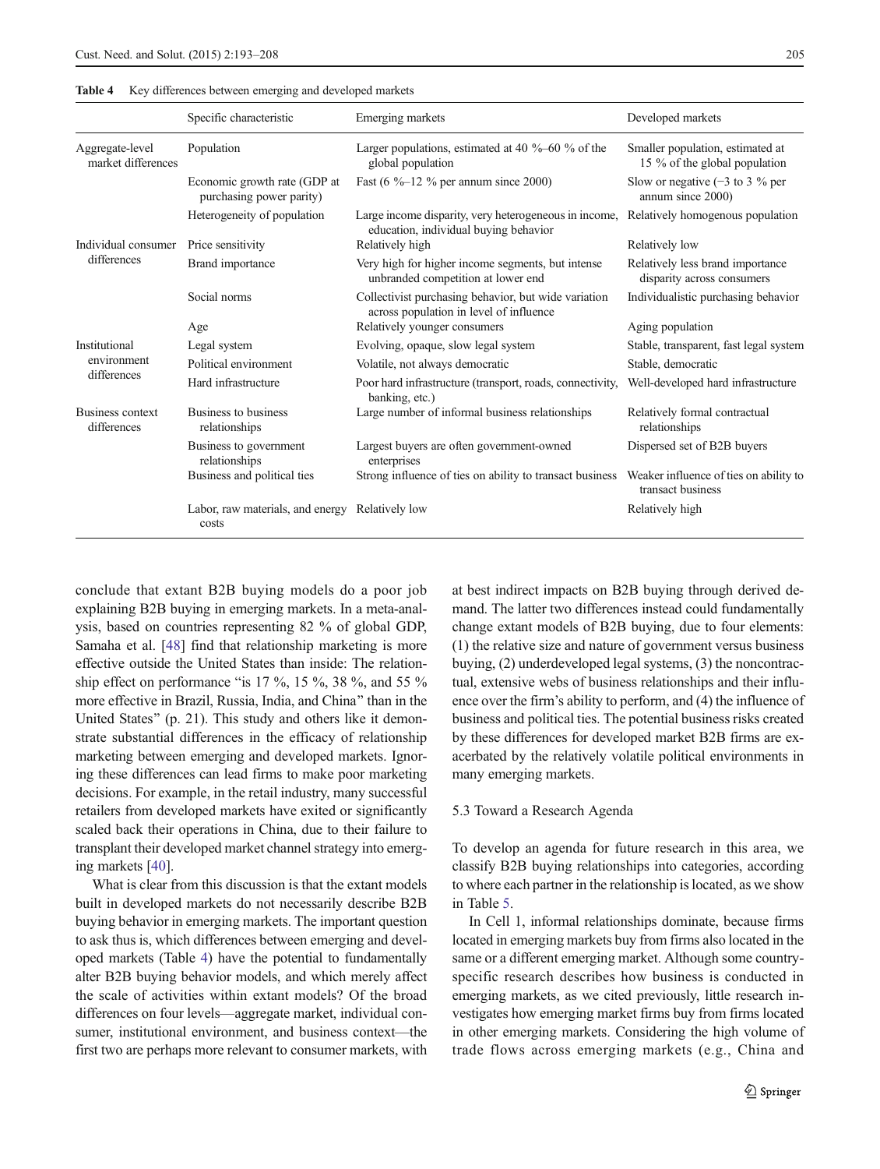<span id="page-12-0"></span>

| Table 4 | Key differences between emerging and developed markets |  |  |
|---------|--------------------------------------------------------|--|--|
|         |                                                        |  |  |

|                                       | Specific characteristic                                  | Emerging markets                                                                                | Developed markets                                                         |
|---------------------------------------|----------------------------------------------------------|-------------------------------------------------------------------------------------------------|---------------------------------------------------------------------------|
| Aggregate-level<br>market differences | Population                                               | Larger populations, estimated at 40 $\%$ –60 $\%$ of the<br>global population                   | Smaller population, estimated at<br>15 % of the global population         |
|                                       | Economic growth rate (GDP at<br>purchasing power parity) | Fast (6 $\%$ -12 % per annum since 2000)                                                        | Slow or negative $(-3 \text{ to } 3 \% \text{ per})$<br>annum since 2000) |
|                                       | Heterogeneity of population                              | Large income disparity, very heterogeneous in income,<br>education, individual buying behavior  | Relatively homogenous population                                          |
| Individual consumer                   | Price sensitivity                                        | Relatively high                                                                                 | Relatively low                                                            |
| differences                           | Brand importance                                         | Very high for higher income segments, but intense<br>unbranded competition at lower end         | Relatively less brand importance<br>disparity across consumers            |
|                                       | Social norms                                             | Collectivist purchasing behavior, but wide variation<br>across population in level of influence | Individualistic purchasing behavior                                       |
|                                       | Age                                                      | Relatively younger consumers                                                                    | Aging population                                                          |
| Institutional                         | Legal system                                             | Evolving, opaque, slow legal system                                                             | Stable, transparent, fast legal system                                    |
| environment                           | Political environment                                    | Volatile, not always democratic                                                                 | Stable, democratic                                                        |
| differences                           | Hard infrastructure                                      | Poor hard infrastructure (transport, roads, connectivity,<br>banking, etc.)                     | Well-developed hard infrastructure                                        |
| Business context<br>differences       | Business to business<br>relationships                    | Large number of informal business relationships                                                 | Relatively formal contractual<br>relationships                            |
|                                       | Business to government<br>relationships                  | Largest buyers are often government-owned<br>enterprises                                        | Dispersed set of B2B buyers                                               |
|                                       | Business and political ties                              | Strong influence of ties on ability to transact business                                        | Weaker influence of ties on ability to<br>transact business               |
|                                       | Labor, raw materials, and energy Relatively low<br>costs |                                                                                                 | Relatively high                                                           |

conclude that extant B2B buying models do a poor job explaining B2B buying in emerging markets. In a meta-analysis, based on countries representing 82 % of global GDP, Samaha et al. [\[48](#page-14-0)] find that relationship marketing is more effective outside the United States than inside: The relationship effect on performance "is  $17 \frac{\frac{6}{3}}{15 \frac{\frac{6}{3}}{15 \frac{\frac{6}{3}}{15 \frac{\frac{6}{3}}{15 \frac{\frac{6}{3}}{15 \frac{\frac{6}{3}}{15 \frac{\frac{6}{3}}{15 \frac{\frac{6}{3}}{15 \frac{\frac{6}{3}}{15 \frac{\frac{6}{3}}{15 \frac{\frac{6}{3}}{15 \frac{\frac{6}{3}}{15 \frac{\frac{6}{3}}{15 \frac{\frac{6}{3}}{15 \frac{\frac{6}{3}}{15 \frac{\frac{6}{$ more effective in Brazil, Russia, India, and China^ than in the United States" (p. 21). This study and others like it demonstrate substantial differences in the efficacy of relationship marketing between emerging and developed markets. Ignoring these differences can lead firms to make poor marketing decisions. For example, in the retail industry, many successful retailers from developed markets have exited or significantly scaled back their operations in China, due to their failure to transplant their developed market channel strategy into emerging markets [\[40](#page-14-0)].

What is clear from this discussion is that the extant models built in developed markets do not necessarily describe B2B buying behavior in emerging markets. The important question to ask thus is, which differences between emerging and developed markets (Table 4) have the potential to fundamentally alter B2B buying behavior models, and which merely affect the scale of activities within extant models? Of the broad differences on four levels—aggregate market, individual consumer, institutional environment, and business context—the first two are perhaps more relevant to consumer markets, with at best indirect impacts on B2B buying through derived demand. The latter two differences instead could fundamentally change extant models of B2B buying, due to four elements: (1) the relative size and nature of government versus business buying, (2) underdeveloped legal systems, (3) the noncontractual, extensive webs of business relationships and their influence over the firm's ability to perform, and (4) the influence of business and political ties. The potential business risks created by these differences for developed market B2B firms are exacerbated by the relatively volatile political environments in many emerging markets.

#### 5.3 Toward a Research Agenda

To develop an agenda for future research in this area, we classify B2B buying relationships into categories, according to where each partner in the relationship is located, as we show in Table [5](#page-13-0).

In Cell 1, informal relationships dominate, because firms located in emerging markets buy from firms also located in the same or a different emerging market. Although some countryspecific research describes how business is conducted in emerging markets, as we cited previously, little research investigates how emerging market firms buy from firms located in other emerging markets. Considering the high volume of trade flows across emerging markets (e.g., China and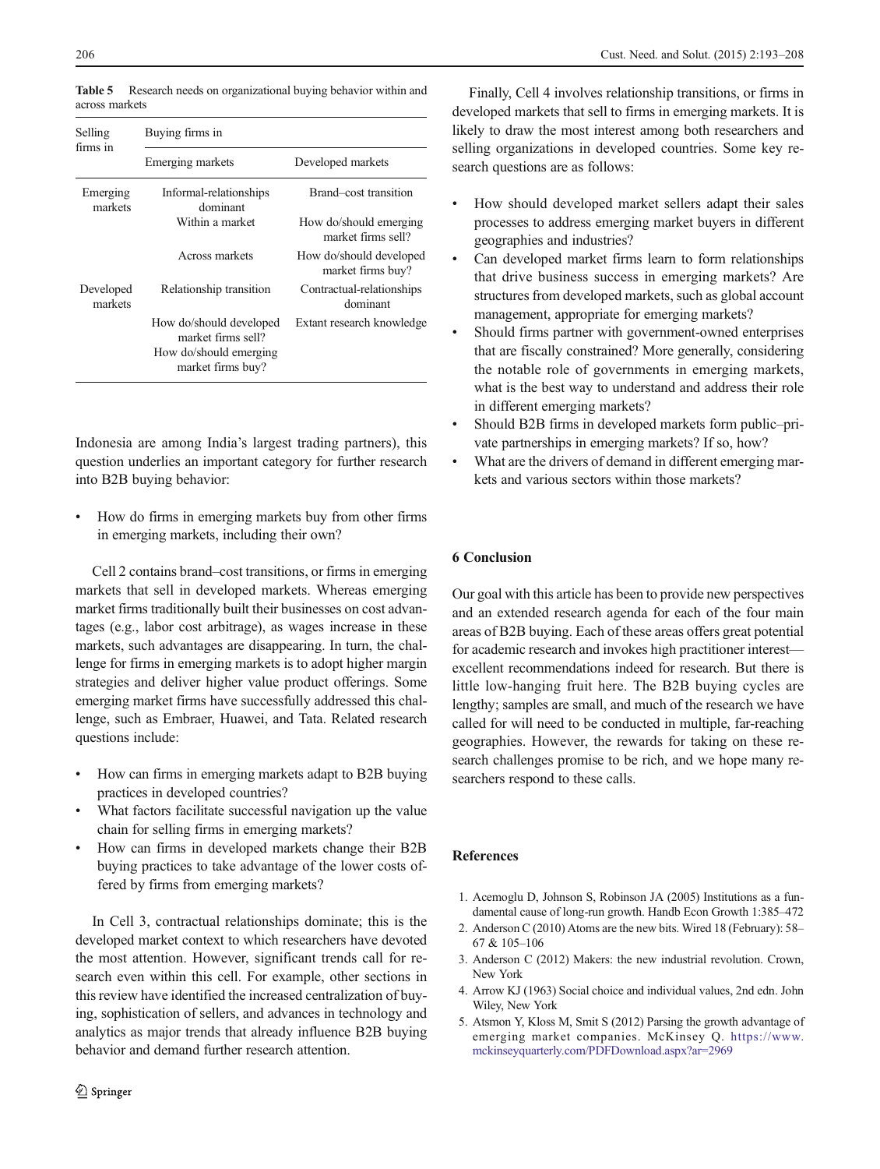| Selling<br>firms in  | Buying firms in                                                                              |                                              |  |  |
|----------------------|----------------------------------------------------------------------------------------------|----------------------------------------------|--|--|
|                      | Emerging markets                                                                             | Developed markets                            |  |  |
| Emerging<br>markets  | Informal-relationships<br>dominant                                                           | Brand-cost transition                        |  |  |
|                      | Within a market                                                                              | How do/should emerging<br>market firms sell? |  |  |
|                      | Across markets                                                                               | How do/should developed<br>market firms buy? |  |  |
| Developed<br>markets | Relationship transition                                                                      | Contractual-relationships<br>dominant        |  |  |
|                      | How do/should developed<br>market firms sell?<br>How do/should emerging<br>market firms buy? | Extant research knowledge                    |  |  |

<span id="page-13-0"></span>Table 5 Research needs on organizational buying behavior within and across markets

Indonesia are among India's largest trading partners), this question underlies an important category for further research into B2B buying behavior:

& How do firms in emerging markets buy from other firms in emerging markets, including their own?

Cell 2 contains brand–cost transitions, or firms in emerging markets that sell in developed markets. Whereas emerging market firms traditionally built their businesses on cost advantages (e.g., labor cost arbitrage), as wages increase in these markets, such advantages are disappearing. In turn, the challenge for firms in emerging markets is to adopt higher margin strategies and deliver higher value product offerings. Some emerging market firms have successfully addressed this challenge, such as Embraer, Huawei, and Tata. Related research questions include:

- & How can firms in emerging markets adapt to B2B buying practices in developed countries?
- What factors facilitate successful navigation up the value chain for selling firms in emerging markets?
- & How can firms in developed markets change their B2B buying practices to take advantage of the lower costs offered by firms from emerging markets?

In Cell 3, contractual relationships dominate; this is the developed market context to which researchers have devoted the most attention. However, significant trends call for research even within this cell. For example, other sections in this review have identified the increased centralization of buying, sophistication of sellers, and advances in technology and analytics as major trends that already influence B2B buying behavior and demand further research attention.

Finally, Cell 4 involves relationship transitions, or firms in developed markets that sell to firms in emerging markets. It is likely to draw the most interest among both researchers and selling organizations in developed countries. Some key research questions are as follows:

- & How should developed market sellers adapt their sales processes to address emerging market buyers in different geographies and industries?
- Can developed market firms learn to form relationships that drive business success in emerging markets? Are structures from developed markets, such as global account management, appropriate for emerging markets?
- & Should firms partner with government-owned enterprises that are fiscally constrained? More generally, considering the notable role of governments in emerging markets, what is the best way to understand and address their role in different emerging markets?
- & Should B2B firms in developed markets form public–private partnerships in emerging markets? If so, how?
- What are the drivers of demand in different emerging markets and various sectors within those markets?

## 6 Conclusion

Our goal with this article has been to provide new perspectives and an extended research agenda for each of the four main areas of B2B buying. Each of these areas offers great potential for academic research and invokes high practitioner interest excellent recommendations indeed for research. But there is little low-hanging fruit here. The B2B buying cycles are lengthy; samples are small, and much of the research we have called for will need to be conducted in multiple, far-reaching geographies. However, the rewards for taking on these research challenges promise to be rich, and we hope many researchers respond to these calls.

#### References

- 1. Acemoglu D, Johnson S, Robinson JA (2005) Institutions as a fundamental cause of long-run growth. Handb Econ Growth 1:385–472
- 2. Anderson C (2010) Atoms are the new bits. Wired 18 (February): 58– 67 & 105–106
- 3. Anderson C (2012) Makers: the new industrial revolution. Crown, New York
- 4. Arrow KJ (1963) Social choice and individual values, 2nd edn. John Wiley, New York
- 5. Atsmon Y, Kloss M, Smit S (2012) Parsing the growth advantage of emerging market companies. McKinsey Q. [https://www.](https://www.mckinseyquarterly.com/PDFDownload.aspx?ar=2969) [mckinseyquarterly.com/PDFDownload.aspx?ar=2969](https://www.mckinseyquarterly.com/PDFDownload.aspx?ar=2969)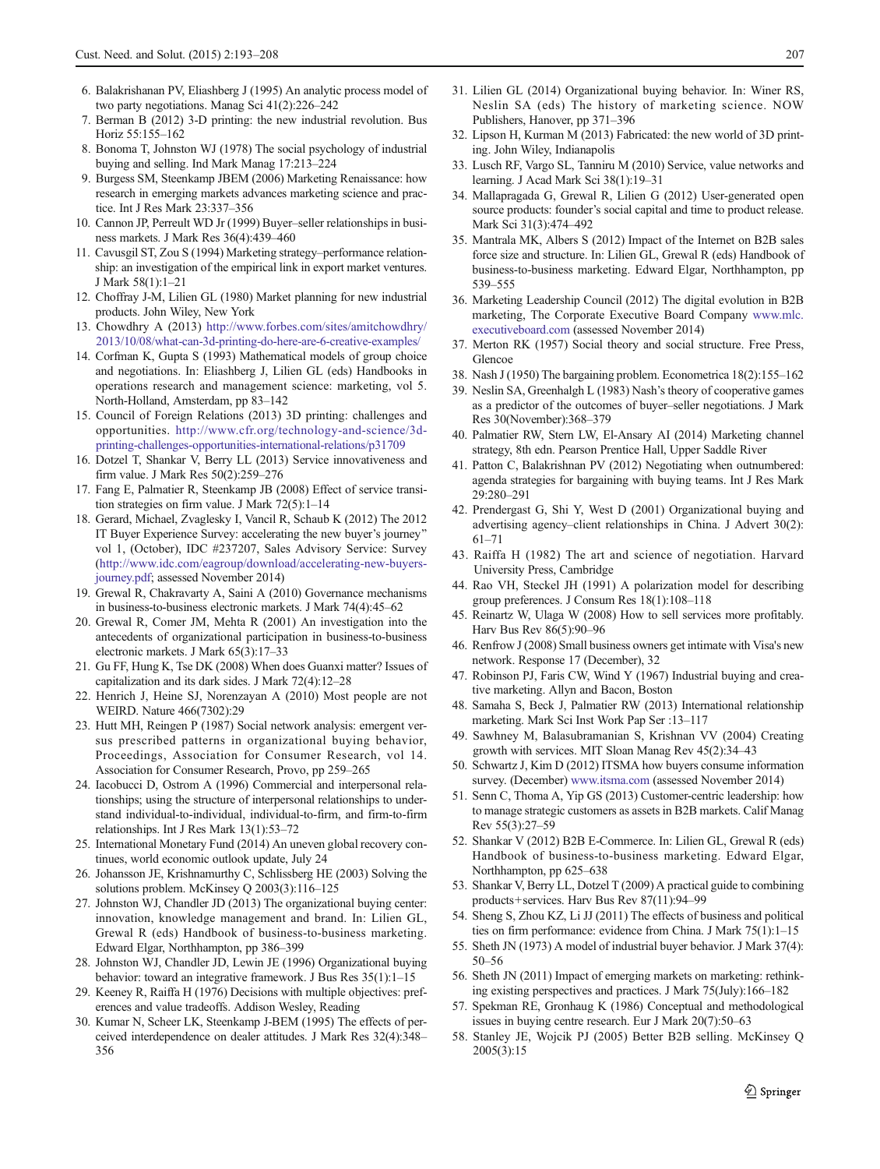- <span id="page-14-0"></span>6. Balakrishanan PV, Eliashberg J (1995) An analytic process model of two party negotiations. Manag Sci 41(2):226–242
- 7. Berman B (2012) 3-D printing: the new industrial revolution. Bus Horiz 55:155–162
- 8. Bonoma T, Johnston WJ (1978) The social psychology of industrial buying and selling. Ind Mark Manag 17:213–224
- 9. Burgess SM, Steenkamp JBEM (2006) Marketing Renaissance: how research in emerging markets advances marketing science and practice. Int J Res Mark 23:337–356
- 10. Cannon JP, Perreult WD Jr (1999) Buyer–seller relationships in business markets. J Mark Res 36(4):439–460
- 11. Cavusgil ST, Zou S (1994) Marketing strategy–performance relationship: an investigation of the empirical link in export market ventures. J Mark 58(1):1–21
- 12. Choffray J-M, Lilien GL (1980) Market planning for new industrial products. John Wiley, New York
- 13. Chowdhry A (2013) [http://www.forbes.com/sites/amitchowdhry/](http://www.forbes.com/sites/amitchowdhry/2013/10/08/what-can-3d-printing-do-here-are-6-creative-examples/) [2013/10/08/what-can-3d-printing-do-here-are-6-creative-examples/](http://www.forbes.com/sites/amitchowdhry/2013/10/08/what-can-3d-printing-do-here-are-6-creative-examples/)
- 14. Corfman K, Gupta S (1993) Mathematical models of group choice and negotiations. In: Eliashberg J, Lilien GL (eds) Handbooks in operations research and management science: marketing, vol 5. North-Holland, Amsterdam, pp 83–142
- 15. Council of Foreign Relations (2013) 3D printing: challenges and opportunities. [http://www.cfr.org/technology-and-science/3d](http://www.cfr.org/technology-and-science/3d-printing-challenges-opportunities-international-relations/p31709)[printing-challenges-opportunities-international-relations/p31709](http://www.cfr.org/technology-and-science/3d-printing-challenges-opportunities-international-relations/p31709)
- 16. Dotzel T, Shankar V, Berry LL (2013) Service innovativeness and firm value. J Mark Res 50(2):259–276
- 17. Fang E, Palmatier R, Steenkamp JB (2008) Effect of service transition strategies on firm value. J Mark 72(5):1–14
- 18. Gerard, Michael, Zvaglesky I, Vancil R, Schaub K (2012) The 2012 IT Buyer Experience Survey: accelerating the new buyer's journey^ vol 1, (October), IDC #237207, Sales Advisory Service: Survey [\(http://www.idc.com/eagroup/download/accelerating-new-buyers](http://www.idc.com/eagroup/download/accelerating-new-buyers-journey.pdf)[journey.pdf](http://www.idc.com/eagroup/download/accelerating-new-buyers-journey.pdf); assessed November 2014)
- 19. Grewal R, Chakravarty A, Saini A (2010) Governance mechanisms in business-to-business electronic markets. J Mark 74(4):45–62
- 20. Grewal R, Comer JM, Mehta R (2001) An investigation into the antecedents of organizational participation in business-to-business electronic markets. J Mark 65(3):17–33
- 21. Gu FF, Hung K, Tse DK (2008) When does Guanxi matter? Issues of capitalization and its dark sides. J Mark 72(4):12–28
- 22. Henrich J, Heine SJ, Norenzayan A (2010) Most people are not WEIRD. Nature 466(7302):29
- 23. Hutt MH, Reingen P (1987) Social network analysis: emergent versus prescribed patterns in organizational buying behavior, Proceedings, Association for Consumer Research, vol 14. Association for Consumer Research, Provo, pp 259–265
- 24. Iacobucci D, Ostrom A (1996) Commercial and interpersonal relationships; using the structure of interpersonal relationships to understand individual-to-individual, individual-to-firm, and firm-to-firm relationships. Int J Res Mark 13(1):53–72
- 25. International Monetary Fund (2014) An uneven global recovery continues, world economic outlook update, July 24
- 26. Johansson JE, Krishnamurthy C, Schlissberg HE (2003) Solving the solutions problem. McKinsey Q 2003(3):116–125
- 27. Johnston WJ, Chandler JD (2013) The organizational buying center: innovation, knowledge management and brand. In: Lilien GL, Grewal R (eds) Handbook of business-to-business marketing. Edward Elgar, Northhampton, pp 386–399
- 28. Johnston WJ, Chandler JD, Lewin JE (1996) Organizational buying behavior: toward an integrative framework. J Bus Res 35(1):1–15
- 29. Keeney R, Raiffa H (1976) Decisions with multiple objectives: preferences and value tradeoffs. Addison Wesley, Reading
- 30. Kumar N, Scheer LK, Steenkamp J-BEM (1995) The effects of perceived interdependence on dealer attitudes. J Mark Res 32(4):348– 356
- 31. Lilien GL (2014) Organizational buying behavior. In: Winer RS, Neslin SA (eds) The history of marketing science. NOW Publishers, Hanover, pp 371–396
- 32. Lipson H, Kurman M (2013) Fabricated: the new world of 3D printing. John Wiley, Indianapolis
- 33. Lusch RF, Vargo SL, Tanniru M (2010) Service, value networks and learning. J Acad Mark Sci 38(1):19–31
- 34. Mallapragada G, Grewal R, Lilien G (2012) User-generated open source products: founder's social capital and time to product release. Mark Sci 31(3):474–492
- 35. Mantrala MK, Albers S (2012) Impact of the Internet on B2B sales force size and structure. In: Lilien GL, Grewal R (eds) Handbook of business-to-business marketing. Edward Elgar, Northhampton, pp 539–555
- 36. Marketing Leadership Council (2012) The digital evolution in B2B marketing, The Corporate Executive Board Company [www.mlc.](http://www.mlc.executiveboard.com/) [executiveboard.com](http://www.mlc.executiveboard.com/) (assessed November 2014)
- 37. Merton RK (1957) Social theory and social structure. Free Press, Glencoe
- 38. Nash J (1950) The bargaining problem. Econometrica 18(2):155–162
- 39. Neslin SA, Greenhalgh L (1983) Nash's theory of cooperative games as a predictor of the outcomes of buyer–seller negotiations. J Mark Res 30(November):368–379
- 40. Palmatier RW, Stern LW, El-Ansary AI (2014) Marketing channel strategy, 8th edn. Pearson Prentice Hall, Upper Saddle River
- 41. Patton C, Balakrishnan PV (2012) Negotiating when outnumbered: agenda strategies for bargaining with buying teams. Int J Res Mark 29:280–291
- 42. Prendergast G, Shi Y, West D (2001) Organizational buying and advertising agency–client relationships in China. J Advert 30(2): 61–71
- 43. Raiffa H (1982) The art and science of negotiation. Harvard University Press, Cambridge
- 44. Rao VH, Steckel JH (1991) A polarization model for describing group preferences. J Consum Res 18(1):108–118
- 45. Reinartz W, Ulaga W (2008) How to sell services more profitably. Harv Bus Rev 86(5):90–96
- 46. Renfrow J (2008) Small business owners get intimate with Visa's new network. Response 17 (December), 32
- 47. Robinson PJ, Faris CW, Wind Y (1967) Industrial buying and creative marketing. Allyn and Bacon, Boston
- 48. Samaha S, Beck J, Palmatier RW (2013) International relationship marketing. Mark Sci Inst Work Pap Ser :13–117
- 49. Sawhney M, Balasubramanian S, Krishnan VV (2004) Creating growth with services. MIT Sloan Manag Rev 45(2):34–43
- 50. Schwartz J, Kim D (2012) ITSMA how buyers consume information survey. (December) [www.itsma.com](http://www.itsma.com/) (assessed November 2014)
- 51. Senn C, Thoma A, Yip GS (2013) Customer-centric leadership: how to manage strategic customers as assets in B2B markets. Calif Manag Rev 55(3):27–59
- 52. Shankar V (2012) B2B E-Commerce. In: Lilien GL, Grewal R (eds) Handbook of business-to-business marketing. Edward Elgar, Northhampton, pp 625–638
- 53. Shankar V, Berry LL, Dotzel T (2009) A practical guide to combining products+services. Harv Bus Rev 87(11):94–99
- 54. Sheng S, Zhou KZ, Li JJ (2011) The effects of business and political ties on firm performance: evidence from China. J Mark 75(1):1–15
- 55. Sheth JN (1973) A model of industrial buyer behavior. J Mark 37(4): 50–56
- 56. Sheth JN (2011) Impact of emerging markets on marketing: rethinking existing perspectives and practices. J Mark 75(July):166–182
- 57. Spekman RE, Gronhaug K (1986) Conceptual and methodological issues in buying centre research. Eur J Mark 20(7):50–63
- 58. Stanley JE, Wojcik PJ (2005) Better B2B selling. McKinsey Q 2005(3):15